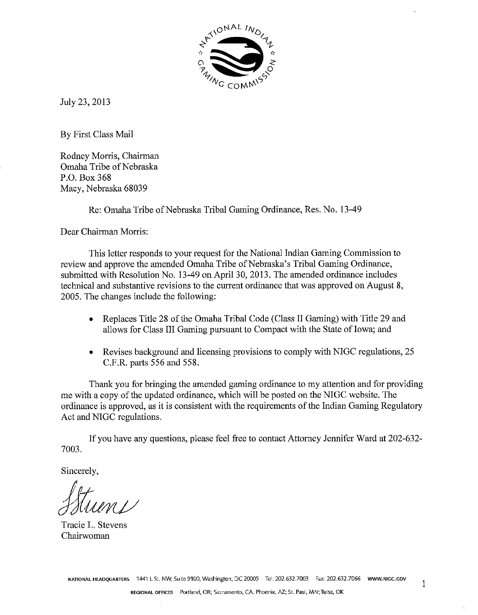

July 23,2013

By First Class Mail

Rodney Morris, Chairman Omaha Tribe of Nebraska P.O. Box 368 Macy, Nebraska 68039

Re: Omaha Tribe of Nebraska Tribal Gaming Ordinance, Res. No. 13-49

Dear Chairman Morris:

This letter responds to your request for the National Indian Gaming Commission to review and approve the amended Omaha Tribe of Nebraska's Tribal Gaming Ordinance, submitted with Resolution No. 13-49 on April 30,2013. The amended ordinance includes technical and substantive revisions to the current ordinance that was approved on August 8, 2005. The changes include the following:

- Replaces Title 28 of the Omaha Tribal Code (Class I1 Gaming) with Title 29 and allows for Class I11 Gaming pursuant to Compact with the State of Iowa; and
- Revises background and licensing provisions to comply with NIGC regulations, 25 C.F.R. parts 556 and 558.

Thank you for bringing the amended gaming ordinance to my attention and for providing me with a copy of the updated ordinance, which will be posted on the NIGC website. The ordinance is approved, as it is consistent with the requirements of the Indian Gaming Regulatory Act and NIGC regulations.

If you have any questions, please feel free to contact Attorney Jennifer Ward at 202-632- 7003.

Sincerely,

Tracie L. Stevens Chairwoman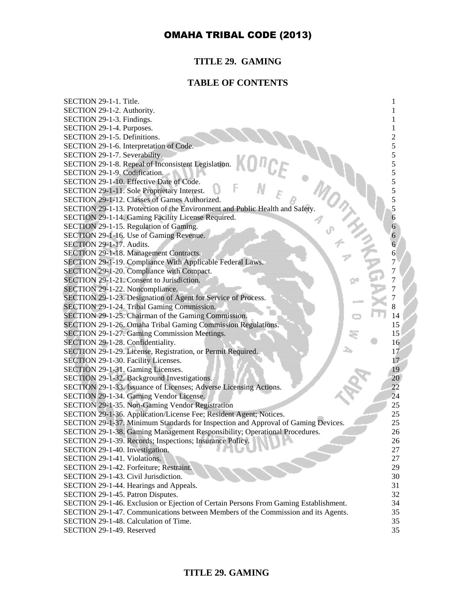# **TITLE 29. GAMING**

# **TABLE OF CONTENTS**

| SECTION 29-1-1. Title.                                                               |     |
|--------------------------------------------------------------------------------------|-----|
| SECTION 29-1-2. Authority.                                                           |     |
| SECTION 29-1-3. Findings.                                                            |     |
| SECTION 29-1-4. Purposes.                                                            |     |
| SECTION 29-1-5. Definitions.                                                         | 2   |
| SECTION 29-1-6. Interpretation of Code.                                              | 5   |
| SECTION 29-1-7. Severability.                                                        | 5   |
| SECTION 29-1-8. Repeal of Inconsistent Legislation.                                  | 5   |
| SECTION 29-1-9. Codification.                                                        | 5   |
| SECTION 29-1-10. Effective Date of Code.                                             | 5   |
| SECTION 29-1-11. Sole Proprietary Interest.                                          | 5   |
| SECTION 29-1-12. Classes of Games Authorized.                                        | 5   |
| SECTION 29-1-13. Protection of the Environment and Public Health and Safety.         | 5   |
| SECTION 29-1-14. Gaming Facility License Required.                                   | 6   |
| SECTION 29-1-15. Regulation of Gaming.                                               | 6   |
| SECTION 29-1-16. Use of Gaming Revenue.                                              | 6   |
| SECTION 29-1-17. Audits.                                                             | 6   |
| SECTION 29-1-18. Management Contracts.                                               | 6   |
| SECTION 29-1-19. Compliance With Applicable Federal Laws.                            | 7   |
| SECTION 29-1-20. Compliance with Compact.                                            | 7   |
| SECTION 29-1-21. Consent to Jurisdiction.                                            | 7   |
| SECTION 29-1-22. Noncompliance.                                                      |     |
| SECTION 29-1-23. Designation of Agent for Service of Process.                        |     |
| SECTION 29-1-24. Tribal Gaming Commission.                                           |     |
| SECTION 29-1-25. Chairman of the Gaming Commission.                                  | 14  |
| SECTION 29-1-26. Omaha Tribal Gaming Commission Regulations.                         | 15  |
| SECTION 29-1-27. Gaming Commission Meetings.                                         | 15  |
| SECTION 29-1-28. Confidentiality.                                                    | 16  |
| SECTION 29-1-29. License, Registration, or Permit Required.                          | 17  |
| SECTION 29-1-30. Facility Licenses.                                                  | 17. |
| SECTION 29-1-31. Gaming Licenses.                                                    | 19  |
| SECTION 29-1-32. Background Investigations.                                          | 20  |
| SECTION 29-1-33. Issuance of Licenses; Adverse Licensing Actions.                    | 22  |
| SECTION 29-1-34. Gaming Vendor License.                                              | 24  |
| SECTION 29-1-35. Non-Gaming Vendor Registration                                      | 25  |
| SECTION 29-1-36. Application/License Fee; Resident Agent; Notices.                   | 25  |
| SECTION 29-1-37. Minimum Standards for Inspection and Approval of Gaming Devices.    | 25  |
| SECTION 29-1-38. Gaming Management Responsibility; Operational Procedures.           | 26  |
| SECTION 29-1-39. Records; Inspections; Insurance Policy.                             | 26  |
| SECTION 29-1-40. Investigation.                                                      | 27  |
| SECTION 29-1-41. Violations.                                                         | 27  |
| SECTION 29-1-42. Forfeiture; Restraint.                                              | 29  |
| SECTION 29-1-43. Civil Jurisdiction.                                                 | 30  |
| SECTION 29-1-44. Hearings and Appeals.                                               | 31  |
| SECTION 29-1-45. Patron Disputes.                                                    | 32  |
| SECTION 29-1-46. Exclusion or Ejection of Certain Persons From Gaming Establishment. | 34  |
| SECTION 29-1-47. Communications between Members of the Commission and its Agents.    | 35  |
| SECTION 29-1-48. Calculation of Time.                                                | 35  |
| SECTION 29-1-49. Reserved                                                            | 35  |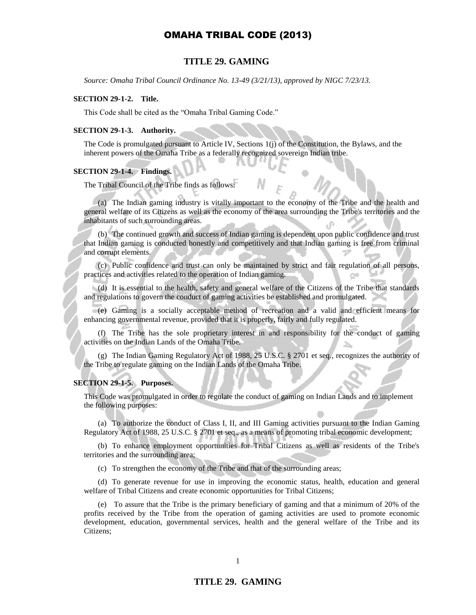### **TITLE 29. GAMING**

*Source: Omaha Tribal Council Ordinance No. 13-49 (3/21/13), approved by NIGC 7/23/13.* 

### **SECTION 29-1-2. Title.**

This Code shall be cited as the "Omaha Tribal Gaming Code."

#### **SECTION 29-1-3. Authority.**

The Code is promulgated pursuant to Article IV, Sections 1(j) of the Constitution, the Bylaws, and the inherent powers of the Omaha Tribe as a federally recognized sovereign Indian tribe.

### **SECTION 29-1-4. Findings.**

The Tribal Council of the Tribe finds as follows:

(a) The Indian gaming industry is vitally important to the economy of the Tribe and the health and general welfare of its Citizens as well as the economy of the area surrounding the Tribe's territories and the inhabitants of such surrounding areas.

(b) The continued growth and success of Indian gaming is dependent upon public confidence and trust that Indian gaming is conducted honestly and competitively and that Indian gaming is free from criminal and corrupt elements.

(c) Public confidence and trust can only be maintained by strict and fair regulation of all persons, practices and activities related to the operation of Indian gaming.

(d) It is essential to the health, safety and general welfare of the Citizens of the Tribe that standards and regulations to govern the conduct of gaming activities be established and promulgated.

(e) Gaming is a socially acceptable method of recreation and a valid and efficient means for enhancing governmental revenue, provided that it is properly, fairly and fully regulated.

(f) The Tribe has the sole proprietary interest in and responsibility for the conduct of gaming activities on the Indian Lands of the Omaha Tribe.

(g) The Indian Gaming Regulatory Act of 1988, 25 U.S.C. § 2701 et seq*.*, recognizes the authority of the Tribe to regulate gaming on the Indian Lands of the Omaha Tribe.

#### **SECTION 29-1-5. Purposes.**

This Code was promulgated in order to regulate the conduct of gaming on Indian Lands and to implement the following purposes:

(a) To authorize the conduct of Class I, II, and III Gaming activities pursuant to the Indian Gaming Regulatory Act of 1988, 25 U.S.C. § 2701 et seq., as a means of promoting tribal economic development;

(b) To enhance employment opportunities for Tribal Citizens as well as residents of the Tribe's territories and the surrounding area;

(c) To strengthen the economy of the Tribe and that of the surrounding areas;

(d) To generate revenue for use in improving the economic status, health, education and general welfare of Tribal Citizens and create economic opportunities for Tribal Citizens;

(e) To assure that the Tribe is the primary beneficiary of gaming and that a minimum of 20% of the profits received by the Tribe from the operation of gaming activities are used to promote economic development, education, governmental services, health and the general welfare of the Tribe and its Citizens;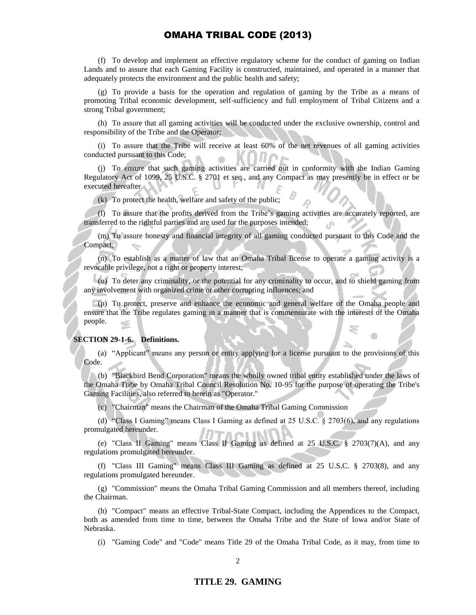(f) To develop and implement an effective regulatory scheme for the conduct of gaming on Indian Lands and to assure that each Gaming Facility is constructed, maintained, and operated in a manner that adequately protects the environment and the public health and safety;

(g) To provide a basis for the operation and regulation of gaming by the Tribe as a means of promoting Tribal economic development, self-sufficiency and full employment of Tribal Citizens and a strong Tribal government;

(h) To assure that all gaming activities will be conducted under the exclusive ownership, control and responsibility of the Tribe and the Operator;

(i) To assure that the Tribe will receive at least 60% of the net revenues of all gaming activities conducted pursuant to this Code;

(j) To ensure that such gaming activities are carried out in conformity with the Indian Gaming Regulatory Act of 1099, 25 U.S.C. § 2701 et seq., and any Compact as may presently be in effect or be executed hereafter.

(k) To protect the health, welfare and safety of the public;

(l) To assure that the profits derived from the Tribe's gaming activities are accurately reported, are transferred to the rightful parties and are used for the purposes intended;

(m) To assure honesty and financial integrity of all gaming conducted pursuant to this Code and the Compact;

(n) To establish as a matter of law that an Omaha Tribal license to operate a gaming activity is a revocable privilege, not a right or property interest;

(o) To deter any criminality, or the potential for any criminality to occur, and to shield gaming from any involvement with organized crime or other corrupting influences; and

(p) To protect, preserve and enhance the economic and general welfare of the Omaha people and ensure that the Tribe regulates gaming in a manner that is commensurate with the interests of the Omaha people.

#### **SECTION 29-1-6. Definitions.**

(a) "Applicant" means any person or entity applying for a license pursuant to the provisions of this Code.

(b) "Blackbird Bend Corporation" means the wholly owned tribal entity established under the laws of the Omaha Tribe by Omaha Tribal Council Resolution No. 10-95 for the purpose of operating the Tribe's Gaming Facilities, also referred to herein as "Operator."

(c) "Chairman" means the Chairman of the Omaha Tribal Gaming Commission

(d) "Class I Gaming" means Class I Gaming as defined at 25 U.S.C. § 2703(6), and any regulations promulgated hereunder.

(e) "Class II Gaming" means Class II Gaming as defined at 25 U.S.C. § 2703(7)(A), and any regulations promulgated hereunder.

(f) "Class III Gaming" means Class III Gaming as defined at 25 U.S.C. § 2703(8), and any regulations promulgated hereunder.

(g) "Commission" means the Omaha Tribal Gaming Commission and all members thereof, including the Chairman.

(h) "Compact" means an effective Tribal-State Compact, including the Appendices to the Compact, both as amended from time to time, between the Omaha Tribe and the State of Iowa and/or State of Nebraska.

(i) "Gaming Code" and "Code" means Title 29 of the Omaha Tribal Code, as it may, from time to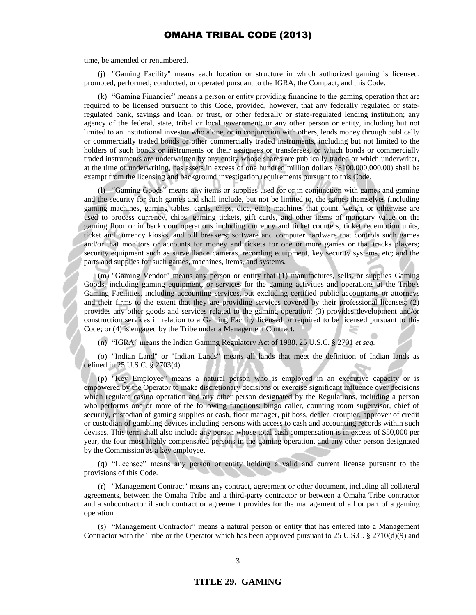time, be amended or renumbered.

(j) "Gaming Facility" means each location or structure in which authorized gaming is licensed, promoted, performed, conducted, or operated pursuant to the IGRA, the Compact, and this Code.

(k) "Gaming Financier" means a person or entity providing financing to the gaming operation that are required to be licensed pursuant to this Code, provided, however, that any federally regulated or stateregulated bank, savings and loan, or trust, or other federally or state-regulated lending institution; any agency of the federal, state, tribal or local government; or any other person or entity, including but not limited to an institutional investor who alone, or in conjunction with others, lends money through publically or commercially traded bonds or other commercially traded instruments, including but not limited to the holders of such bonds or instruments or their assignees or transferees, or which bonds or commercially traded instruments are underwritten by any entity whose shares are publically traded or which underwriter, at the time of underwriting, has assets in excess of one hundred million dollars (\$100,000,000.00) shall be exempt from the licensing and background investigation requirements pursuant to this Code.

(l) "Gaming Goods" means any items or supplies used for or in conjunction with games and gaming and the security for such games and shall include, but not be limited to, the games themselves (including gaming machines, gaming tables, cards, chips, dice, etc.); machines that count, weigh, or otherwise are used to process currency, chips, gaming tickets, gift cards, and other items of monetary value on the gaming floor or in backroom operations including currency and ticket counters, ticket redemption units, ticket and currency kiosks, and bill breakers; software and computer hardware that controls such games and/or that monitors or accounts for money and tickets for one or more games or that tracks players; security equipment such as surveillance cameras, recording equipment, key security systems, etc; and the parts and supplies for such games, machines, items, and systems.

(m) "Gaming Vendor" means any person or entity that (1) manufactures, sells, or supplies Gaming Goods, including gaming equipment, or services for the gaming activities and operations at the Tribe's Gaming Facilities, including accounting services, but excluding certified public accountants or attorneys and their firms to the extent that they are providing services covered by their professional licenses; (2) provides any other goods and services related to the gaming operation; (3) provides development and/or construction services in relation to a Gaming Facility licensed or required to be licensed pursuant to this Code; or (4) is engaged by the Tribe under a Management Contract.

(n) "IGRA" means the Indian Gaming Regulatory Act of 1988, 25 U.S.C. § 2701 *et seq.*

(o) "Indian Land" or "Indian Lands" means all lands that meet the definition of Indian lands as defined in 25 U.S.C. § 2703(4).

(p) "Key Employee" means a natural person who is employed in an executive capacity or is empowered by the Operator to make discretionary decisions or exercise significant influence over decisions which regulate casino operation and any other person designated by the Regulations, including a person who performs one or more of the following functions: bingo caller, counting room supervisor, chief of security, custodian of gaming supplies or cash, floor manager, pit boss, dealer, croupier, approver of credit or custodian of gambling devices including persons with access to cash and accounting records within such devises. This term shall also include any person whose total cash compensation is in excess of \$50,000 per year, the four most highly compensated persons in the gaming operation, and any other person designated by the Commission as a key employee.

(q) "Licensee" means any person or entity holding a valid and current license pursuant to the provisions of this Code.

(r) "Management Contract" means any contract, agreement or other document, including all collateral agreements, between the Omaha Tribe and a third-party contractor or between a Omaha Tribe contractor and a subcontractor if such contract or agreement provides for the management of all or part of a gaming operation.

(s) "Management Contractor" means a natural person or entity that has entered into a Management Contractor with the Tribe or the Operator which has been approved pursuant to 25 U.S.C. § 2710(d)(9) and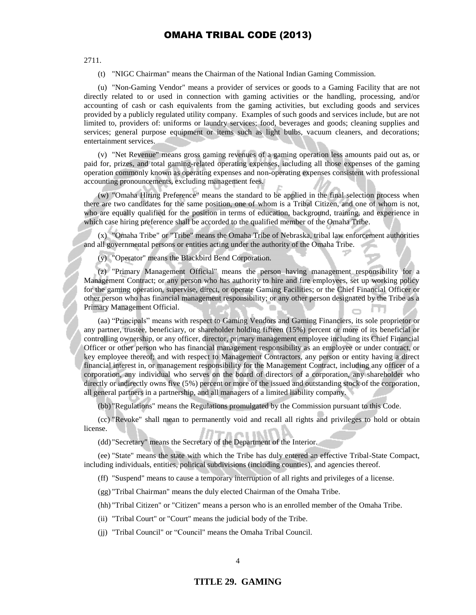2711.

(t) "NIGC Chairman" means the Chairman of the National Indian Gaming Commission.

(u) "Non-Gaming Vendor" means a provider of services or goods to a Gaming Facility that are not directly related to or used in connection with gaming activities or the handling, processing, and/or accounting of cash or cash equivalents from the gaming activities, but excluding goods and services provided by a publicly regulated utility company. Examples of such goods and services include, but are not limited to, providers of: uniforms or laundry services; food, beverages and goods; cleaning supplies and services; general purpose equipment or items such as light bulbs, vacuum cleaners, and decorations; entertainment services.

(v) "Net Revenue" means gross gaming revenues of a gaming operation less amounts paid out as, or paid for, prizes, and total gaming-related operating expenses, including all those expenses of the gaming operation commonly known as operating expenses and non-operating expenses consistent with professional accounting pronouncements, excluding management fees.

(w) "Omaha Hiring Preference" means the standard to be applied in the final selection process when there are two candidates for the same position, one of whom is a Tribal Citizen, and one of whom is not, who are equally qualified for the position in terms of education, background, training, and experience in which case hiring preference shall be accorded to the qualified member of the Omaha Tribe.

(x) "Omaha Tribe" or "Tribe" means the Omaha Tribe of Nebraska, tribal law enforcement authorities and all governmental persons or entities acting under the authority of the Omaha Tribe.

(y) "Operator" means the Blackbird Bend Corporation.

(z) "Primary Management Official" means the person having management responsibility for a Management Contract; or any person who has authority to hire and fire employees, set up working policy for the gaming operation, supervise, direct, or operate Gaming Facilities; or the Chief Financial Officer or other person who has financial management responsibility; or any other person designated by the Tribe as a Primary Management Official.

(aa) "Principals" means with respect to Gaming Vendors and Gaming Financiers, its sole proprietor or any partner, trustee, beneficiary, or shareholder holding fifteen (15%) percent or more of its beneficial or controlling ownership, or any officer, director, primary management employee including its Chief Financial Officer or other person who has financial management responsibility as an employee or under contract, or key employee thereof; and with respect to Management Contractors, any person or entity having a direct financial interest in, or management responsibility for the Management Contract, including any officer of a corporation, any individual who serves on the board of directors of a corporation, any shareholder who directly or indirectly owns five (5%) percent or more of the issued and outstanding stock of the corporation, all general partners in a partnership, and all managers of a limited liability company.

(bb) "Regulations" means the Regulations promulgated by the Commission pursuant to this Code.

(cc) "Revoke" shall mean to permanently void and recall all rights and privileges to hold or obtain license.

(dd) "Secretary" means the Secretary of the Department of the Interior.

(ee) "State" means the state with which the Tribe has duly entered an effective Tribal-State Compact, including individuals, entities, political subdivisions (including counties), and agencies thereof.

(ff) "Suspend" means to cause a temporary interruption of all rights and privileges of a license.

(gg) "Tribal Chairman" means the duly elected Chairman of the Omaha Tribe.

(hh) "Tribal Citizen" or "Citizen" means a person who is an enrolled member of the Omaha Tribe.

(ii) "Tribal Court" or "Court" means the judicial body of the Tribe.

(jj) "Tribal Council" or "Council" means the Omaha Tribal Council.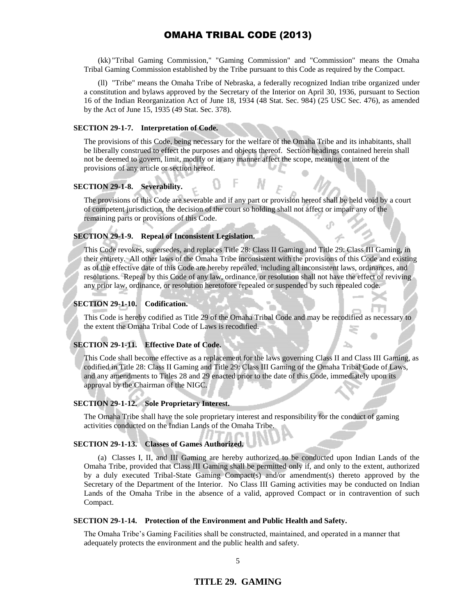(kk) "Tribal Gaming Commission," "Gaming Commission" and "Commission" means the Omaha Tribal Gaming Commission established by the Tribe pursuant to this Code as required by the Compact.

(ll) "Tribe" means the Omaha Tribe of Nebraska, a federally recognized Indian tribe organized under a constitution and bylaws approved by the Secretary of the Interior on April 30, 1936, pursuant to Section 16 of the Indian Reorganization Act of June 18, 1934 (48 Stat. Sec. 984) (25 USC Sec. 476), as amended by the Act of June 15, 1935 (49 Stat. Sec. 378).

### **SECTION 29-1-7. Interpretation of Code.**

The provisions of this Code, being necessary for the welfare of the Omaha Tribe and its inhabitants, shall be liberally construed to effect the purposes and objects thereof. Section headings contained herein shall not be deemed to govern, limit, modify or in any manner affect the scope, meaning or intent of the provisions of any article or section hereof.

#### **SECTION 29-1-8. Severability.**

The provisions of this Code are severable and if any part or provision hereof shall be held void by a court of competent jurisdiction, the decision of the court so holding shall not affect or impair any of the remaining parts or provisions of this Code.

### **SECTION 29-1-9. Repeal of Inconsistent Legislation.**

This Code revokes, supersedes, and replaces Title 28: Class II Gaming and Title 29: Class III Gaming, in their entirety. All other laws of the Omaha Tribe inconsistent with the provisions of this Code and existing as of the effective date of this Code are hereby repealed, including all inconsistent laws, ordinances, and resolutions. Repeal by this Code of any law, ordinance, or resolution shall not have the effect of reviving any prior law, ordinance, or resolution heretofore repealed or suspended by such repealed code.

### **SECTION 29-1-10. Codification.**

This Code is hereby codified as Title 29 of the Omaha Tribal Code and may be recodified as necessary to the extent the Omaha Tribal Code of Laws is recodified.

#### **SECTION 29-1-11. Effective Date of Code.**

This Code shall become effective as a replacement for the laws governing Class II and Class III Gaming, as codified in Title 28: Class II Gaming and Title 29: Class III Gaming of the Omaha Tribal Code of Laws, and any amendments to Titles 28 and 29 enacted prior to the date of this Code, immediately upon its approval by the Chairman of the NIGC.

#### **SECTION 29-1-12. Sole Proprietary Interest.**

The Omaha Tribe shall have the sole proprietary interest and responsibility for the conduct of gaming activities conducted on the Indian Lands of the Omaha Tribe.

### **SECTION 29-1-13. Classes of Games Authorized.**

(a) Classes I, II, and III Gaming are hereby authorized to be conducted upon Indian Lands of the Omaha Tribe, provided that Class III Gaming shall be permitted only if, and only to the extent, authorized by a duly executed Tribal-State Gaming Compact(s) and/or amendment(s) thereto approved by the Secretary of the Department of the Interior. No Class III Gaming activities may be conducted on Indian Lands of the Omaha Tribe in the absence of a valid, approved Compact or in contravention of such Compact.

#### **SECTION 29-1-14. Protection of the Environment and Public Health and Safety.**

The Omaha Tribe's Gaming Facilities shall be constructed, maintained, and operated in a manner that adequately protects the environment and the public health and safety.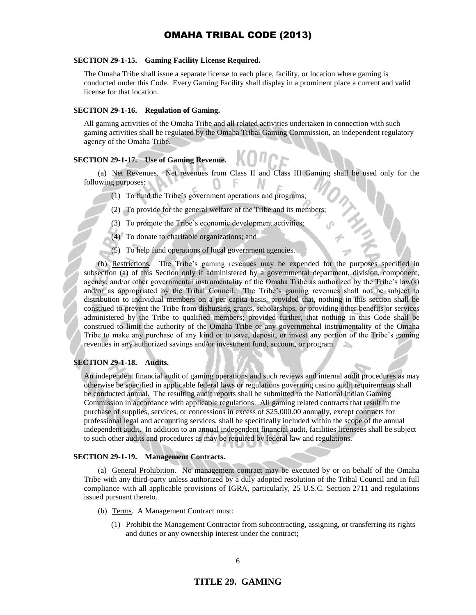### **SECTION 29-1-15. Gaming Facility License Required.**

The Omaha Tribe shall issue a separate license to each place, facility, or location where gaming is conducted under this Code. Every Gaming Facility shall display in a prominent place a current and valid license for that location.

#### **SECTION 29-1-16. Regulation of Gaming.**

All gaming activities of the Omaha Tribe and all related activities undertaken in connection with such gaming activities shall be regulated by the Omaha Tribal Gaming Commission, an independent regulatory agency of the Omaha Tribe.

### **SECTION 29-1-17. Use of Gaming Revenue.**

(a) Net Revenues. Net revenues from Class II and Class III Gaming shall be used only for the following purposes:

- (1) To fund the Tribe's government operations and programs;
- (2) To provide for the general welfare of the Tribe and its members;
- (3) To promote the Tribe's economic development activities;
- (4) To donate to charitable organizations; and
- (5) To help fund operations of local government agencies.

(b) Restrictions. The Tribe's gaming revenues may be expended for the purposes specified in subsection (a) of this Section only if administered by a governmental department, division, component, agency, and/or other governmental instrumentality of the Omaha Tribe as authorized by the Tribe's law(s) and/or as appropriated by the Tribal Council. The Tribe's gaming revenues shall not be subject to distribution to individual members on a per capita basis, provided that, nothing in this section shall be construed to prevent the Tribe from disbursing grants, scholarships, or providing other benefits or services administered by the Tribe to qualified members; provided further, that nothing in this Code shall be construed to limit the authority of the Omaha Tribe or any governmental instrumentality of the Omaha Tribe to make any purchase of any kind or to save, deposit, or invest any portion of the Tribe's gaming revenues in any authorized savings and/or investment fund, account, or program.

#### **SECTION 29-1-18. Audits.**

An independent financial audit of gaming operations and such reviews and internal audit procedures as may otherwise be specified in applicable federal laws or regulations governing casino audit requirements shall be conducted annual. The resulting audit reports shall be submitted to the National Indian Gaming Commission in accordance with applicable regulations. All gaming related contracts that result in the purchase of supplies, services, or concessions in excess of \$25,000.00 annually, except contracts for professional legal and accounting services, shall be specifically included within the scope of the annual independent audit. In addition to an annual independent financial audit, facilities licensees shall be subject to such other audits and procedures as may be required by federal law and regulations.

### **SECTION 29-1-19. Management Contracts.**

(a) General Prohibition. No management contract may be executed by or on behalf of the Omaha Tribe with any third-party unless authorized by a duly adopted resolution of the Tribal Council and in full compliance with all applicable provisions of IGRA, particularly, 25 U.S.C. Section 2711 and regulations issued pursuant thereto.

- (b) Terms. A Management Contract must:
	- (1) Prohibit the Management Contractor from subcontracting, assigning, or transferring its rights and duties or any ownership interest under the contract;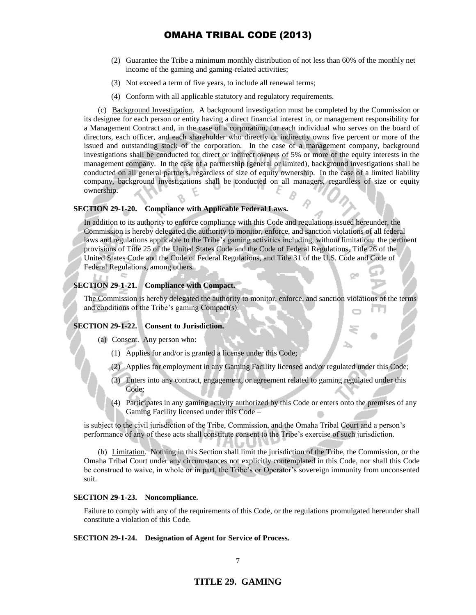- (2) Guarantee the Tribe a minimum monthly distribution of not less than 60% of the monthly net income of the gaming and gaming-related activities;
- (3) Not exceed a term of five years, to include all renewal terms;
- (4) Conform with all applicable statutory and regulatory requirements.

(c) Background Investigation. A background investigation must be completed by the Commission or its designee for each person or entity having a direct financial interest in, or management responsibility for a Management Contract and, in the case of a corporation, for each individual who serves on the board of directors, each officer, and each shareholder who directly or indirectly owns five percent or more of the issued and outstanding stock of the corporation. In the case of a management company, background investigations shall be conducted for direct or indirect owners of 5% or more of the equity interests in the management company. In the case of a partnership (general or limited), background investigations shall be conducted on all general partners, regardless of size of equity ownership. In the case of a limited liability company, background investigations shall be conducted on all managers, regardless of size or equity ownership.

#### **SECTION 29-1-20. Compliance with Applicable Federal Laws.**

In addition to its authority to enforce compliance with this Code and regulations issued hereunder, the Commission is hereby delegated the authority to monitor, enforce, and sanction violations of all federal laws and regulations applicable to the Tribe's gaming activities including, without limitation, the pertinent provisions of Title 25 of the United States Code and the Code of Federal Regulations, Title 26 of the United States Code and the Code of Federal Regulations, and Title 31 of the U.S. Code and Code of Federal Regulations, among others.

#### **SECTION 29-1-21. Compliance with Compact.**

The Commission is hereby delegated the authority to monitor, enforce, and sanction violations of the terms and conditions of the Tribe's gaming Compact(s).

### **SECTION 29-1-22. Consent to Jurisdiction.**

- (a) Consent. Any person who:
	- (1) Applies for and/or is granted a license under this Code;
	- (2) Applies for employment in any Gaming Facility licensed and/or regulated under this Code;
	- (3) Enters into any contract, engagement, or agreement related to gaming regulated under this Code;
	- (4) Participates in any gaming activity authorized by this Code or enters onto the premises of any Gaming Facility licensed under this Code –

is subject to the civil jurisdiction of the Tribe, Commission, and the Omaha Tribal Court and a person's performance of any of these acts shall constitute consent to the Tribe's exercise of such jurisdiction.

(b) Limitation. Nothing in this Section shall limit the jurisdiction of the Tribe, the Commission, or the Omaha Tribal Court under any circumstances not explicitly contemplated in this Code, nor shall this Code be construed to waive, in whole or in part, the Tribe's or Operator's sovereign immunity from unconsented suit.

#### **SECTION 29-1-23. Noncompliance.**

Failure to comply with any of the requirements of this Code, or the regulations promulgated hereunder shall constitute a violation of this Code.

#### **SECTION 29-1-24. Designation of Agent for Service of Process.**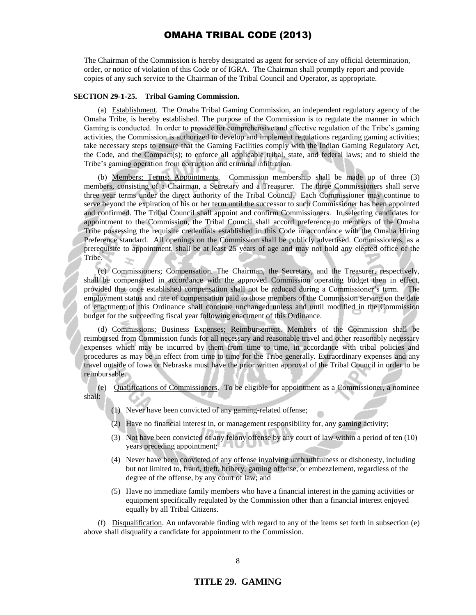The Chairman of the Commission is hereby designated as agent for service of any official determination, order, or notice of violation of this Code or of IGRA. The Chairman shall promptly report and provide copies of any such service to the Chairman of the Tribal Council and Operator, as appropriate.

#### **SECTION 29-1-25. Tribal Gaming Commission.**

(a) Establishment. The Omaha Tribal Gaming Commission, an independent regulatory agency of the Omaha Tribe, is hereby established. The purpose of the Commission is to regulate the manner in which Gaming is conducted. In order to provide for comprehensive and effective regulation of the Tribe's gaming activities, the Commission is authorized to develop and implement regulations regarding gaming activities; take necessary steps to ensure that the Gaming Facilities comply with the Indian Gaming Regulatory Act, the Code, and the Compact(s); to enforce all applicable tribal, state, and federal laws; and to shield the Tribe's gaming operation from corruption and criminal infiltration.

(b) Members; Terms; Appointments. Commission membership shall be made up of three (3) members, consisting of a Chairman, a Secretary and a Treasurer. The three Commissioners shall serve three year terms under the direct authority of the Tribal Council. Each Commissioner may continue to serve beyond the expiration of his or her term until the successor to such Commissioner has been appointed and confirmed. The Tribal Council shall appoint and confirm Commissioners. In selecting candidates for appointment to the Commission, the Tribal Council shall accord preference to members of the Omaha Tribe possessing the requisite credentials established in this Code in accordance with the Omaha Hiring Preference standard. All openings on the Commission shall be publicly advertised. Commissioners, as a prerequisite to appointment, shall be at least 25 years of age and may not hold any elected office of the Tribe.

(c) Commissioners; Compensation. The Chairman, the Secretary, and the Treasurer, respectively, shall be compensated in accordance with the approved Commission operating budget then in effect, provided that once established compensation shall not be reduced during a Commissioner's term. The employment status and rate of compensation paid to those members of the Commission serving on the date of enactment of this Ordinance shall continue unchanged unless and until modified in the Commission budget for the succeeding fiscal year following enactment of this Ordinance.

(d) Commissions; Business Expenses; Reimbursement. Members of the Commission shall be reimbursed from Commission funds for all necessary and reasonable travel and other reasonably necessary expenses which may be incurred by them from time to time, in accordance with tribal policies and procedures as may be in effect from time to time for the Tribe generally. Extraordinary expenses and any travel outside of Iowa or Nebraska must have the prior written approval of the Tribal Council in order to be reimbursable.

(e) Qualifications of Commissioners. To be eligible for appointment as a Commissioner, a nominee shall:

- (1) Never have been convicted of any gaming-related offense;
- (2) Have no financial interest in, or management responsibility for, any gaming activity;
- (3) Not have been convicted of any felony offense by any court of law within a period of ten (10) years preceding appointment;
- (4) Never have been convicted of any offense involving unthruthfulness or dishonesty, including but not limited to, fraud, theft, bribery, gaming offense, or embezzlement, regardless of the degree of the offense, by any court of law; and
- (5) Have no immediate family members who have a financial interest in the gaming activities or equipment specifically regulated by the Commission other than a financial interest enjoyed equally by all Tribal Citizens.

(f) Disqualification. An unfavorable finding with regard to any of the items set forth in subsection (e) above shall disqualify a candidate for appointment to the Commission.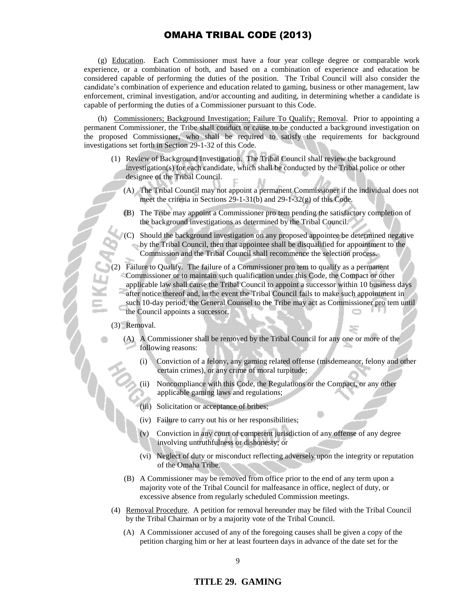(g) Education. Each Commissioner must have a four year college degree or comparable work experience, or a combination of both, and based on a combination of experience and education be considered capable of performing the duties of the position. The Tribal Council will also consider the candidate's combination of experience and education related to gaming, business or other management, law enforcement, criminal investigation, and/or accounting and auditing, in determining whether a candidate is capable of performing the duties of a Commissioner pursuant to this Code.

(h) Commissioners; Background Investigation; Failure To Qualify; Removal. Prior to appointing a permanent Commissioner, the Tribe shall conduct or cause to be conducted a background investigation on the proposed Commissioner, who shall be required to satisfy the requirements for background investigations set forth in Section 29-1-32 of this Code.

- (1) Review of Background Investigation. The Tribal Council shall review the background investigation(s) for each candidate, which shall be conducted by the Tribal police or other designee of the Tribal Council.
	- (A) The Tribal Council may not appoint a permanent Commissioner if the individual does not meet the criteria in Sections 29-1-31(b) and 29-1-32(g) of this Code.
	- (B) The Tribe may appoint a Commissioner pro tem pending the satisfactory completion of the background investigations as determined by the Tribal Council.
	- Should the background investigation on any proposed appointee be determined negative by the Tribal Council, then that appointee shall be disqualified for appointment to the Commission and the Tribal Council shall recommence the selection process.

(2) Failure to Qualify. The failure of a Commissioner pro tem to qualify as a permanent Commissioner or to maintain such qualification under this Code, the Compact or other applicable law shall cause the Tribal Council to appoint a successor within 10 business days after notice thereof and, in the event the Tribal Council fails to make such appointment in such 10-day period, the General Counsel to the Tribe may act as Commissioner pro tem until the Council appoints a successor.

#### (3) Removal.

- (A) A Commissioner shall be removed by the Tribal Council for any one or more of the following reasons:
	- (i) Conviction of a felony, any gaming related offense (misdemeanor, felony and other certain crimes), or any crime of moral turpitude;
	- (ii) Noncompliance with this Code, the Regulations or the Compact, or any other applicable gaming laws and regulations;
	- (iii) Solicitation or acceptance of bribes;
	- (iv) Failure to carry out his or her responsibilities;
	- (v) Conviction in any court of competent jurisdiction of any offense of any degree involving untruthfulness or dishonesty; or
	- (vi) Neglect of duty or misconduct reflecting adversely upon the integrity or reputation of the Omaha Tribe.
- (B) A Commissioner may be removed from office prior to the end of any term upon a majority vote of the Tribal Council for malfeasance in office, neglect of duty, or excessive absence from regularly scheduled Commission meetings.
- (4) Removal Procedure. A petition for removal hereunder may be filed with the Tribal Council by the Tribal Chairman or by a majority vote of the Tribal Council.
	- (A) A Commissioner accused of any of the foregoing causes shall be given a copy of the petition charging him or her at least fourteen days in advance of the date set for the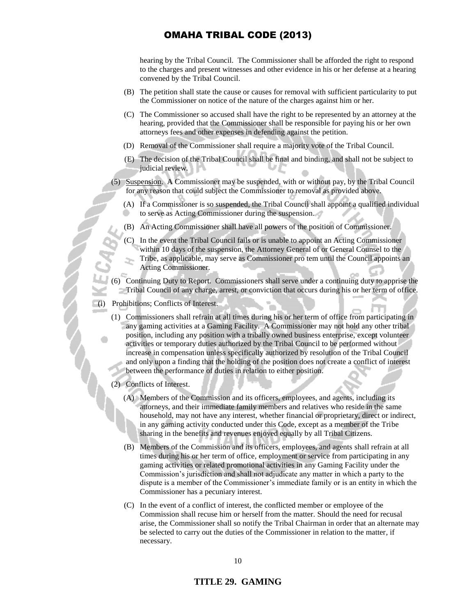hearing by the Tribal Council. The Commissioner shall be afforded the right to respond to the charges and present witnesses and other evidence in his or her defense at a hearing convened by the Tribal Council.

- (B) The petition shall state the cause or causes for removal with sufficient particularity to put the Commissioner on notice of the nature of the charges against him or her.
- (C) The Commissioner so accused shall have the right to be represented by an attorney at the hearing, provided that the Commissioner shall be responsible for paying his or her own attorneys fees and other expenses in defending against the petition.
- (D) Removal of the Commissioner shall require a majority vote of the Tribal Council.
- (E) The decision of the Tribal Council shall be final and binding, and shall not be subject to judicial review.
- (5) Suspension. A Commissioner may be suspended, with or without pay, by the Tribal Council for any reason that could subject the Commissioner to removal as provided above.
	- (A) If a Commissioner is so suspended, the Tribal Council shall appoint a qualified individual to serve as Acting Commissioner during the suspension.
	- (B) An Acting Commissioner shall have all powers of the position of Commissioner.
	- (C) In the event the Tribal Council fails or is unable to appoint an Acting Commissioner within 10 days of the suspension, the Attorney General of or General Counsel to the Tribe, as applicable, may serve as Commissioner pro tem until the Council appoints an Acting Commissioner.
- (6) Continuing Duty to Report. Commissioners shall serve under a continuing duty to apprise the Tribal Council of any charge, arrest, or conviction that occurs during his or her term of office.
- (i) Prohibitions; Conflicts of Interest.
	- (1) Commissioners shall refrain at all times during his or her term of office from participating in any gaming activities at a Gaming Facility. A Commissioner may not hold any other tribal position, including any position with a tribally owned business enterprise, except volunteer activities or temporary duties authorized by the Tribal Council to be performed without increase in compensation unless specifically authorized by resolution of the Tribal Council and only upon a finding that the holding of the position does not create a conflict of interest between the performance of duties in relation to either position.
	- (2) Conflicts of Interest.
		- (A) Members of the Commission and its officers, employees, and agents, including its attorneys, and their immediate family members and relatives who reside in the same household, may not have any interest, whether financial or proprietary, direct or indirect, in any gaming activity conducted under this Code, except as a member of the Tribe sharing in the benefits and revenues enjoyed equally by all Tribal Citizens.
		- (B) Members of the Commission and its officers, employees, and agents shall refrain at all times during his or her term of office, employment or service from participating in any gaming activities or related promotional activities in any Gaming Facility under the Commission's jurisdiction and shall not adjudicate any matter in which a party to the dispute is a member of the Commissioner's immediate family or is an entity in which the Commissioner has a pecuniary interest.
		- (C) In the event of a conflict of interest, the conflicted member or employee of the Commission shall recuse him or herself from the matter. Should the need for recusal arise, the Commissioner shall so notify the Tribal Chairman in order that an alternate may be selected to carry out the duties of the Commissioner in relation to the matter, if necessary.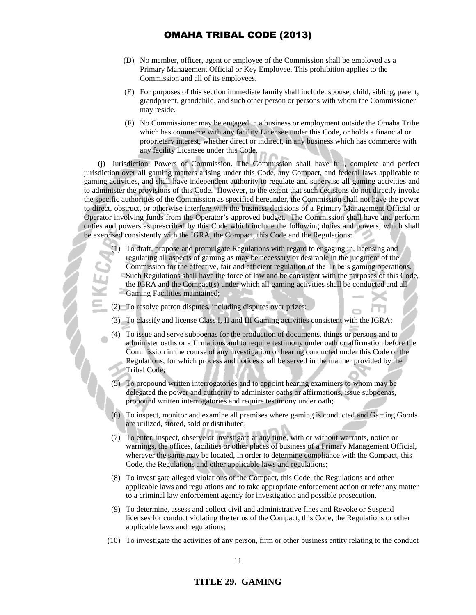- (D) No member, officer, agent or employee of the Commission shall be employed as a Primary Management Official or Key Employee. This prohibition applies to the Commission and all of its employees.
- (E) For purposes of this section immediate family shall include: spouse, child, sibling, parent, grandparent, grandchild, and such other person or persons with whom the Commissioner may reside.
- (F) No Commissioner may be engaged in a business or employment outside the Omaha Tribe which has commerce with any facility Licensee under this Code, or holds a financial or proprietary interest, whether direct or indirect, in any business which has commerce with any facility Licensee under this Code.

(j) Jurisdiction, Powers of Commission. The Commission shall have full, complete and perfect jurisdiction over all gaming matters arising under this Code, any Compact, and federal laws applicable to gaming activities, and shall have independent authority to regulate and supervise all gaming activities and to administer the provisions of this Code. However, to the extent that such decisions do not directly invoke the specific authorities of the Commission as specified hereunder, the Commission shall not have the power to direct, obstruct, or otherwise interfere with the business decisions of a Primary Management Official or Operator involving funds from the Operator's approved budget. The Commission shall have and perform duties and powers as prescribed by this Code which include the following duties and powers, which shall be exercised consistently with the IGRA, the Compact, this Code and the Regulations:

- (1) To draft, propose and promulgate Regulations with regard to engaging in, licensing and regulating all aspects of gaming as may be necessary or desirable in the judgment of the Commission for the effective, fair and efficient regulation of the Tribe's gaming operations. Such Regulations shall have the force of law and be consistent with the purposes of this Code, the IGRA and the Compact(s) under which all gaming activities shall be conducted and all Gaming Facilities maintained;
- (2) To resolve patron disputes, including disputes over prizes;
- (3) To classify and license Class I, II and III Gaming activities consistent with the IGRA;
- (4) To issue and serve subpoenas for the production of documents, things or persons and to administer oaths or affirmations and to require testimony under oath or affirmation before the Commission in the course of any investigation or hearing conducted under this Code or the Regulations, for which process and notices shall be served in the manner provided by the Tribal Code;
- (5) To propound written interrogatories and to appoint hearing examiners to whom may be delegated the power and authority to administer oaths or affirmations, issue subpoenas, propound written interrogatories and require testimony under oath;
- (6) To inspect, monitor and examine all premises where gaming is conducted and Gaming Goods are utilized, stored, sold or distributed;
- (7) To enter, inspect, observe or investigate at any time, with or without warrants, notice or warnings, the offices, facilities or other places of business of a Primary Management Official, wherever the same may be located, in order to determine compliance with the Compact, this Code, the Regulations and other applicable laws and regulations;
- (8) To investigate alleged violations of the Compact, this Code, the Regulations and other applicable laws and regulations and to take appropriate enforcement action or refer any matter to a criminal law enforcement agency for investigation and possible prosecution.
- (9) To determine, assess and collect civil and administrative fines and Revoke or Suspend licenses for conduct violating the terms of the Compact, this Code, the Regulations or other applicable laws and regulations;
- (10) To investigate the activities of any person, firm or other business entity relating to the conduct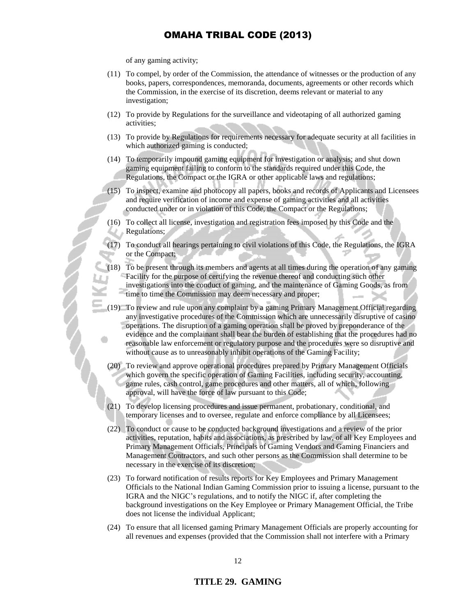of any gaming activity;

- (11) To compel, by order of the Commission, the attendance of witnesses or the production of any books, papers, correspondences, memoranda, documents, agreements or other records which the Commission, in the exercise of its discretion, deems relevant or material to any investigation;
- (12) To provide by Regulations for the surveillance and videotaping of all authorized gaming activities;
- (13) To provide by Regulations for requirements necessary for adequate security at all facilities in which authorized gaming is conducted;
- (14) To temporarily impound gaming equipment for investigation or analysis; and shut down gaming equipment failing to conform to the standards required under this Code, the Regulations, the Compact or the IGRA or other applicable laws and regulations;
- (15) To inspect, examine and photocopy all papers, books and records of Applicants and Licensees and require verification of income and expense of gaming activities and all activities conducted under or in violation of this Code, the Compact or the Regulations;
- (16) To collect all license, investigation and registration fees imposed by this Code and the Regulations;
- (17) To conduct all hearings pertaining to civil violations of this Code, the Regulations, the IGRA or the Compact;
- (18) To be present through its members and agents at all times during the operation of any gaming Facility for the purpose of certifying the revenue thereof and conducting such other investigations into the conduct of gaming, and the maintenance of Gaming Goods, as from time to time the Commission may deem necessary and proper;
- (19) To review and rule upon any complaint by a gaming Primary Management Official regarding any investigative procedures of the Commission which are unnecessarily disruptive of casino operations. The disruption of a gaming operation shall be proved by preponderance of the evidence and the complainant shall bear the burden of establishing that the procedures had no reasonable law enforcement or regulatory purpose and the procedures were so disruptive and without cause as to unreasonably inhibit operations of the Gaming Facility;
- (20) To review and approve operational procedures prepared by Primary Management Officials which govern the specific operation of Gaming Facilities, including security, accounting, game rules, cash control, game procedures and other matters, all of which, following approval, will have the force of law pursuant to this Code;
- (21) To develop licensing procedures and issue permanent, probationary, conditional, and temporary licenses and to oversee, regulate and enforce compliance by all Licensees;
- (22) To conduct or cause to be conducted background investigations and a review of the prior activities, reputation, habits and associations, as prescribed by law, of all Key Employees and Primary Management Officials, Principals of Gaming Vendors and Gaming Financiers and Management Contractors, and such other persons as the Commission shall determine to be necessary in the exercise of its discretion;
- (23) To forward notification of results reports for Key Employees and Primary Management Officials to the National Indian Gaming Commission prior to issuing a license, pursuant to the IGRA and the NIGC's regulations, and to notify the NIGC if, after completing the background investigations on the Key Employee or Primary Management Official, the Tribe does not license the individual Applicant;
- (24) To ensure that all licensed gaming Primary Management Officials are properly accounting for all revenues and expenses (provided that the Commission shall not interfere with a Primary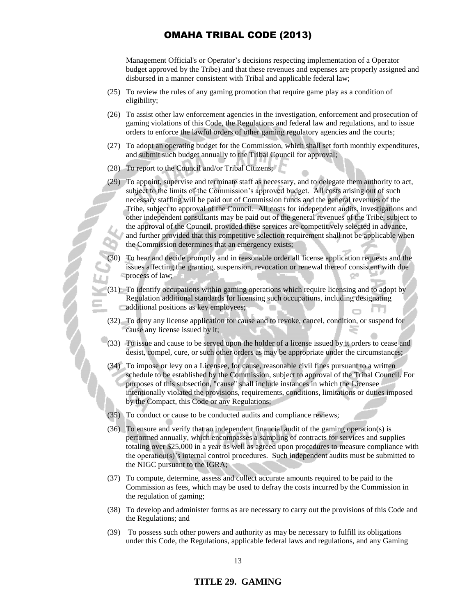Management Official's or Operator's decisions respecting implementation of a Operator budget approved by the Tribe) and that these revenues and expenses are properly assigned and disbursed in a manner consistent with Tribal and applicable federal law;

- (25) To review the rules of any gaming promotion that require game play as a condition of eligibility;
- (26) To assist other law enforcement agencies in the investigation, enforcement and prosecution of gaming violations of this Code, the Regulations and federal law and regulations, and to issue orders to enforce the lawful orders of other gaming regulatory agencies and the courts;
- (27) To adopt an operating budget for the Commission, which shall set forth monthly expenditures, and submit such budget annually to the Tribal Council for approval;
- (28) To report to the Council and/or Tribal Citizens;
- (29) To appoint, supervise and terminate staff as necessary, and to delegate them authority to act, subject to the limits of the Commission's approved budget. All costs arising out of such necessary staffing will be paid out of Commission funds and the general revenues of the Tribe, subject to approval of the Council. All costs for independent audits, investigations and other independent consultants may be paid out of the general revenues of the Tribe, subject to the approval of the Council, provided these services are competitively selected in advance, and further provided that this competitive selection requirement shall not be applicable when the Commission determines that an emergency exists;
- (30) To hear and decide promptly and in reasonable order all license application requests and the issues affecting the granting, suspension, revocation or renewal thereof consistent with due process of law;
- (31) To identify occupations within gaming operations which require licensing and to adopt by Regulation additional standards for licensing such occupations, including designating additional positions as key employees;
- (32) To deny any license application for cause and to revoke, cancel, condition, or suspend for cause any license issued by it;
- (33) To issue and cause to be served upon the holder of a license issued by it orders to cease and desist, compel, cure, or such other orders as may be appropriate under the circumstances;
- (34) To impose or levy on a Licensee, for cause, reasonable civil fines pursuant to a written schedule to be established by the Commission, subject to approval of the Tribal Council. For purposes of this subsection, "cause" shall include instances in which the Licensee intentionally violated the provisions, requirements, conditions, limitations or duties imposed by the Compact, this Code or any Regulations;
- (35) To conduct or cause to be conducted audits and compliance reviews;
- (36) To ensure and verify that an independent financial audit of the gaming operation(s) is performed annually, which encompasses a sampling of contracts for services and supplies totaling over \$25,000 in a year as well as agreed upon procedures to measure compliance with the operation(s)'s internal control procedures. Such independent audits must be submitted to the NIGC pursuant to the IGRA;
- (37) To compute, determine, assess and collect accurate amounts required to be paid to the Commission as fees, which may be used to defray the costs incurred by the Commission in the regulation of gaming;
- (38) To develop and administer forms as are necessary to carry out the provisions of this Code and the Regulations; and
- (39) To possess such other powers and authority as may be necessary to fulfill its obligations under this Code, the Regulations, applicable federal laws and regulations, and any Gaming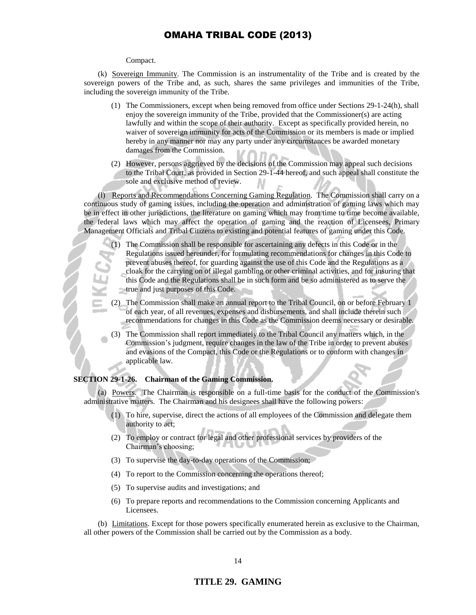#### Compact.

(k) Sovereign Immunity. The Commission is an instrumentality of the Tribe and is created by the sovereign powers of the Tribe and, as such, shares the same privileges and immunities of the Tribe, including the sovereign immunity of the Tribe.

- (1) The Commissioners, except when being removed from office under Sections 29-1-24(h), shall enjoy the sovereign immunity of the Tribe, provided that the Commissioner(s) are acting lawfully and within the scope of their authority. Except as specifically provided herein, no waiver of sovereign immunity for acts of the Commission or its members is made or implied hereby in any manner nor may any party under any circumstances be awarded monetary damages from the Commission.
- (2) However, persons aggrieved by the decisions of the Commission may appeal such decisions to the Tribal Court, as provided in Section 29-1-44 hereof, and such appeal shall constitute the sole and exclusive method of review.

(l) Reports and Recommendations Concerning Gaming Regulation. The Commission shall carry on a continuous study of gaming issues, including the operation and administration of gaming laws which may be in effect in other jurisdictions, the literature on gaming which may from time to time become available, the federal laws which may affect the operation of gaming and the reaction of Licensees, Primary Management Officials and Tribal Citizens to existing and potential features of gaming under this Code.

- (1) The Commission shall be responsible for ascertaining any defects in this Code or in the Regulations issued hereunder, for formulating recommendations for changes in this Code to prevent abuses thereof, for guarding against the use of this Code and the Regulations as a cloak for the carrying on of illegal gambling or other criminal activities, and for insuring that this Code and the Regulations shall be in such form and be so administered as to serve the true and just purposes of this Code.
- (2) The Commission shall make an annual report to the Tribal Council, on or before February 1 of each year, of all revenues, expenses and disbursements, and shall include therein such recommendations for changes in this Code as the Commission deems necessary or desirable.
- (3) The Commission shall report immediately to the Tribal Council any matters which, in the Commission's judgment, require changes in the law of the Tribe in order to prevent abuses and evasions of the Compact, this Code or the Regulations or to conform with changes in applicable law.

#### **SECTION 29-1-26. Chairman of the Gaming Commission.**

(a) Powers. The Chairman is responsible on a full-time basis for the conduct of the Commission's administrative matters. The Chairman and his designees shall have the following powers:

- (1) To hire, supervise, direct the actions of all employees of the Commission and delegate them authority to act;
- (2) To employ or contract for legal and other professional services by providers of the Chairman's choosing;
- (3) To supervise the day-to-day operations of the Commission;
- (4) To report to the Commission concerning the operations thereof;
- (5) To supervise audits and investigations; and
- (6) To prepare reports and recommendations to the Commission concerning Applicants and Licensees.

(b) Limitations. Except for those powers specifically enumerated herein as exclusive to the Chairman, all other powers of the Commission shall be carried out by the Commission as a body.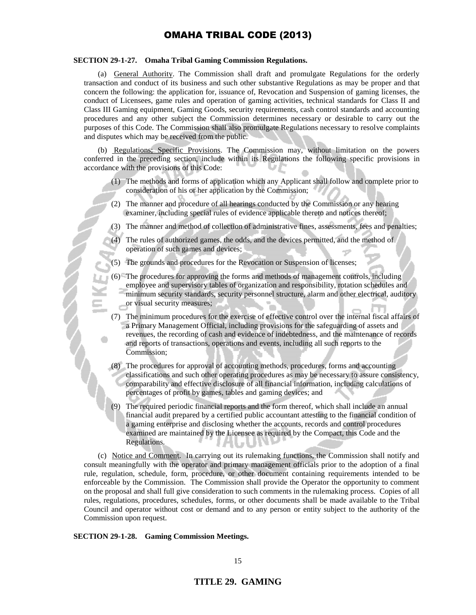### **SECTION 29-1-27. Omaha Tribal Gaming Commission Regulations.**

(a) General Authority. The Commission shall draft and promulgate Regulations for the orderly transaction and conduct of its business and such other substantive Regulations as may be proper and that concern the following: the application for, issuance of, Revocation and Suspension of gaming licenses, the conduct of Licensees, game rules and operation of gaming activities, technical standards for Class II and Class III Gaming equipment, Gaming Goods, security requirements, cash control standards and accounting procedures and any other subject the Commission determines necessary or desirable to carry out the purposes of this Code. The Commission shall also promulgate Regulations necessary to resolve complaints and disputes which may be received from the public.

(b) Regulations; Specific Provisions. The Commission may, without limitation on the powers conferred in the preceding section, include within its Regulations the following specific provisions in accordance with the provisions of this Code:

- (1) The methods and forms of application which any Applicant shall follow and complete prior to consideration of his or her application by the Commission;
- (2) The manner and procedure of all hearings conducted by the Commission or any hearing examiner, including special rules of evidence applicable thereto and notices thereof;
- (3) The manner and method of collection of administrative fines, assessments, fees and penalties;
- The rules of authorized games, the odds, and the devices permitted, and the method of operation of such games and devices;
- (5) The grounds and procedures for the Revocation or Suspension of licenses;
- (6) The procedures for approving the forms and methods of management controls, including employee and supervisory tables of organization and responsibility, rotation schedules and minimum security standards, security personnel structure, alarm and other electrical, auditory or visual security measures;
- (7) The minimum procedures for the exercise of effective control over the internal fiscal affairs of a Primary Management Official, including provisions for the safeguarding of assets and revenues, the recording of cash and evidence of indebtedness, and the maintenance of records and reports of transactions, operations and events, including all such reports to the Commission;
- (8) The procedures for approval of accounting methods, procedures, forms and accounting classifications and such other operating procedures as may be necessary to assure consistency, comparability and effective disclosure of all financial information, including calculations of percentages of profit by games, tables and gaming devices; and
- (9) The required periodic financial reports and the form thereof, which shall include an annual financial audit prepared by a certified public accountant attesting to the financial condition of a gaming enterprise and disclosing whether the accounts, records and control procedures examined are maintained by the Licensee as required by the Compact, this Code and the Regulations.

(c) Notice and Comment. In carrying out its rulemaking functions, the Commission shall notify and consult meaningfully with the operator and primary management officials prior to the adoption of a final rule, regulation, schedule, form, procedure, or other document containing requirements intended to be enforceable by the Commission. The Commission shall provide the Operator the opportunity to comment on the proposal and shall full give consideration to such comments in the rulemaking process. Copies of all rules, regulations, procedures, schedules, forms, or other documents shall be made available to the Tribal Council and operator without cost or demand and to any person or entity subject to the authority of the Commission upon request.

#### **SECTION 29-1-28. Gaming Commission Meetings.**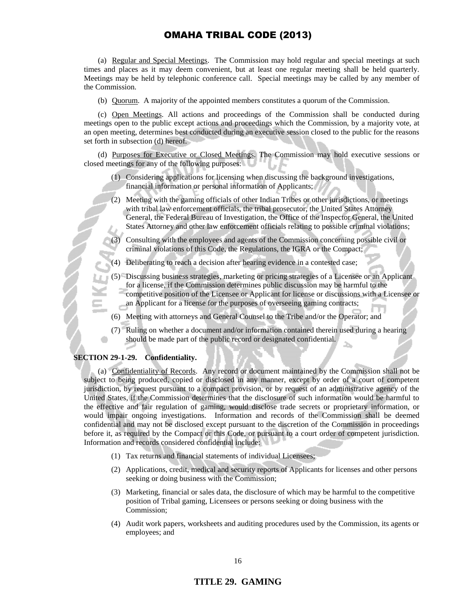(a) Regular and Special Meetings. The Commission may hold regular and special meetings at such times and places as it may deem convenient, but at least one regular meeting shall be held quarterly. Meetings may be held by telephonic conference call. Special meetings may be called by any member of the Commission.

(b) Quorum. A majority of the appointed members constitutes a quorum of the Commission.

(c) Open Meetings. All actions and proceedings of the Commission shall be conducted during meetings open to the public except actions and proceedings which the Commission, by a majority vote, at an open meeting, determines best conducted during an executive session closed to the public for the reasons set forth in subsection (d) hereof.

(d) Purposes for Executive or Closed Meetings. The Commission may hold executive sessions or closed meetings for any of the following purposes:

- (1) Considering applications for licensing when discussing the background investigations, financial information or personal information of Applicants;
- (2) Meeting with the gaming officials of other Indian Tribes or other jurisdictions, or meetings with tribal law enforcement officials, the tribal prosecutor, the United States Attorney General, the Federal Bureau of Investigation, the Office of the Inspector General, the United States Attorney and other law enforcement officials relating to possible criminal violations;
	- Consulting with the employees and agents of the Commission concerning possible civil or criminal violations of this Code, the Regulations, the IGRA or the Compact;
- (4) Deliberating to reach a decision after hearing evidence in a contested case;
- (5) Discussing business strategies, marketing or pricing strategies of a Licensee or an Applicant for a license, if the Commission determines public discussion may be harmful to the competitive position of the Licensee or Applicant for license or discussions with a Licensee or an Applicant for a license for the purposes of overseeing gaming contracts;
- (6) Meeting with attorneys and General Counsel to the Tribe and/or the Operator; and
- (7) Ruling on whether a document and/or information contained therein used during a hearing should be made part of the public record or designated confidential.

### **SECTION 29-1-29. Confidentiality.**

(a) Confidentiality of Records. Any record or document maintained by the Commission shall not be subject to being produced, copied or disclosed in any manner, except by order of a court of competent jurisdiction, by request pursuant to a compact provision, or by request of an administrative agency of the United States, if the Commission determines that the disclosure of such information would be harmful to the effective and fair regulation of gaming, would disclose trade secrets or proprietary information, or would impair ongoing investigations. Information and records of the Commission shall be deemed confidential and may not be disclosed except pursuant to the discretion of the Commission in proceedings before it, as required by the Compact or this Code, or pursuant to a court order of competent jurisdiction. Information and records considered confidential include:

- (1) Tax returns and financial statements of individual Licensees;
- (2) Applications, credit, medical and security reports of Applicants for licenses and other persons seeking or doing business with the Commission;
- (3) Marketing, financial or sales data, the disclosure of which may be harmful to the competitive position of Tribal gaming, Licensees or persons seeking or doing business with the Commission;
- (4) Audit work papers, worksheets and auditing procedures used by the Commission, its agents or employees; and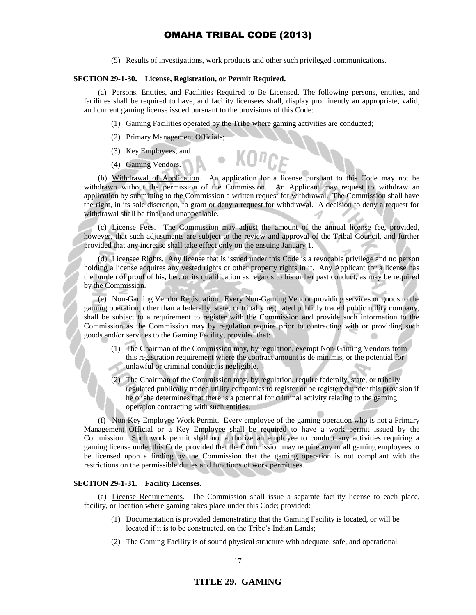(5) Results of investigations, work products and other such privileged communications.

#### **SECTION 29-1-30. License, Registration, or Permit Required.**

(a) Persons, Entities, and Facilities Required to Be Licensed. The following persons, entities, and facilities shall be required to have, and facility licensees shall, display prominently an appropriate, valid, and current gaming license issued pursuant to the provisions of this Code:

- (1) Gaming Facilities operated by the Tribe where gaming activities are conducted;
- (2) Primary Management Officials;
- (3) Key Employees; and
- (4) Gaming Vendors.

(b) Withdrawal of Application. An application for a license pursuant to this Code may not be withdrawn without the permission of the Commission. An Applicant may request to withdraw an application by submitting to the Commission a written request for withdrawal. The Commission shall have the right, in its sole discretion, to grant or deny a request for withdrawal. A decision to deny a request for withdrawal shall be final and unappealable.

(c) License Fees. The Commission may adjust the amount of the annual license fee, provided, however, that such adjustments are subject to the review and approval of the Tribal Council, and further provided that any increase shall take effect only on the ensuing January 1.

(d) Licensee Rights. Any license that is issued under this Code is a revocable privilege and no person holding a license acquires any vested rights or other property rights in it. Any Applicant for a license has the burden of proof of his, her, or its qualification as regards to his or her past conduct, as may be required by the Commission.

(e) Non-Gaming Vendor Registration. Every Non-Gaming Vendor providing services or goods to the gaming operation, other than a federally, state, or tribally regulated publicly traded public utility company, shall be subject to a requirement to register with the Commission and provide such information to the Commission as the Commission may by regulation require prior to contracting with or providing such goods and/or services to the Gaming Facility, provided that:

- (1) The Chairman of the Commission may, by regulation, exempt Non-Gaming Vendors from this registration requirement where the contract amount is de minimis, or the potential for unlawful or criminal conduct is negligible.
- (2) The Chairman of the Commission may, by regulation, require federally, state, or tribally regulated publically traded utility companies to register or be registered under this provision if he or she determines that there is a potential for criminal activity relating to the gaming operation contracting with such entities.

(f) Non-Key Employee Work Permit. Every employee of the gaming operation who is not a Primary Management Official or a Key Employee shall be required to have a work permit issued by the Commission. Such work permit shall not authorize an employee to conduct any activities requiring a gaming license under this Code, provided that the Commission may require any or all gaming employees to be licensed upon a finding by the Commission that the gaming operation is not compliant with the restrictions on the permissible duties and functions of work permittees.

### **SECTION 29-1-31. Facility Licenses.**

(a) License Requirements. The Commission shall issue a separate facility license to each place, facility, or location where gaming takes place under this Code; provided:

- (1) Documentation is provided demonstrating that the Gaming Facility is located, or will be located if it is to be constructed, on the Tribe's Indian Lands;
- (2) The Gaming Facility is of sound physical structure with adequate, safe, and operational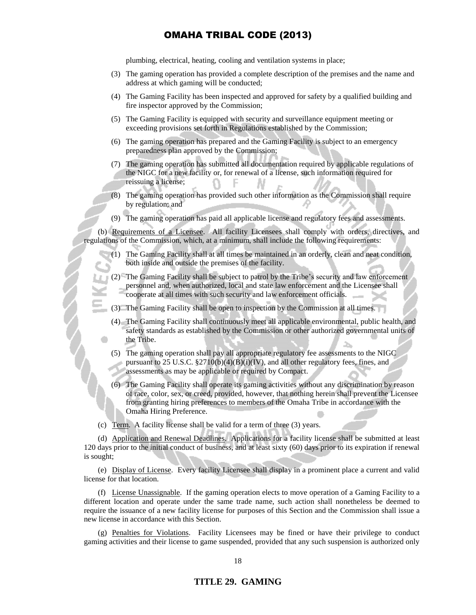plumbing, electrical, heating, cooling and ventilation systems in place;

- (3) The gaming operation has provided a complete description of the premises and the name and address at which gaming will be conducted;
- (4) The Gaming Facility has been inspected and approved for safety by a qualified building and fire inspector approved by the Commission;
- (5) The Gaming Facility is equipped with security and surveillance equipment meeting or exceeding provisions set forth in Regulations established by the Commission;
- (6) The gaming operation has prepared and the Gaming Facility is subject to an emergency preparedness plan approved by the Commission;
- (7) The gaming operation has submitted all documentation required by applicable regulations of the NIGC for a new facility or, for renewal of a license, such information required for reissuing a license;
- (8) The gaming operation has provided such other information as the Commission shall require by regulation; and
- (9) The gaming operation has paid all applicable license and regulatory fees and assessments.

(b) Requirements of a Licensee. All facility Licensees shall comply with orders, directives, and regulations of the Commission, which, at a minimum, shall include the following requirements:

- (1) The Gaming Facility shall at all times be maintained in an orderly, clean and neat condition, both inside and outside the premises of the facility.
- (2) The Gaming Facility shall be subject to patrol by the Tribe's security and law enforcement personnel and, when authorized, local and state law enforcement and the Licensee shall cooperate at all times with such security and law enforcement officials.
- (3) The Gaming Facility shall be open to inspection by the Commission at all times.
- (4) The Gaming Facility shall continuously meet all applicable environmental, public health, and safety standards as established by the Commission or other authorized governmental units of the Tribe.
- (5) The gaming operation shall pay all appropriate regulatory fee assessments to the NIGC pursuant to 25 U.S.C. §2710(b)(4)(B)(i)(IV), and all other regulatory fees, fines, and assessments as may be applicable or required by Compact.
- (6) The Gaming Facility shall operate its gaming activities without any discrimination by reason of race, color, sex, or creed, provided, however, that nothing herein shall prevent the Licensee from granting hiring preferences to members of the Omaha Tribe in accordance with the Omaha Hiring Preference.

(c) Term. A facility license shall be valid for a term of three (3) years.

(d) Application and Renewal Deadlines. Applications for a facility license shall be submitted at least 120 days prior to the initial conduct of business, and at least sixty (60) days prior to its expiration if renewal is sought;

(e) Display of License. Every facility Licensee shall display in a prominent place a current and valid license for that location.

(f) License Unassignable. If the gaming operation elects to move operation of a Gaming Facility to a different location and operate under the same trade name, such action shall nonetheless be deemed to require the issuance of a new facility license for purposes of this Section and the Commission shall issue a new license in accordance with this Section.

(g) Penalties for Violations. Facility Licensees may be fined or have their privilege to conduct gaming activities and their license to game suspended, provided that any such suspension is authorized only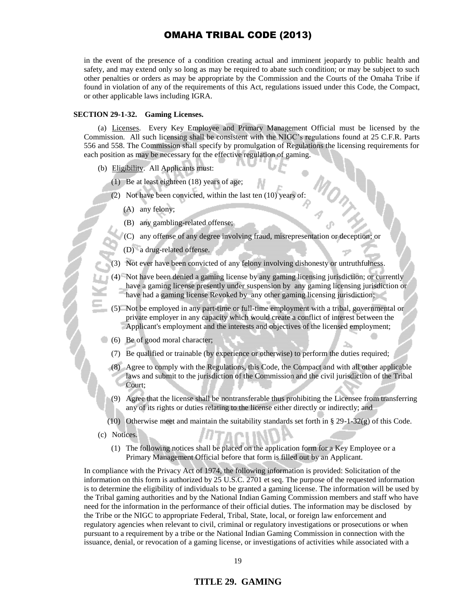in the event of the presence of a condition creating actual and imminent jeopardy to public health and safety, and may extend only so long as may be required to abate such condition; or may be subject to such other penalties or orders as may be appropriate by the Commission and the Courts of the Omaha Tribe if found in violation of any of the requirements of this Act, regulations issued under this Code, the Compact, or other applicable laws including IGRA.

#### **SECTION 29-1-32. Gaming Licenses.**

(a) Licenses. Every Key Employee and Primary Management Official must be licensed by the Commission. All such licensing shall be consistent with the NIGC's regulations found at 25 C.F.R. Parts 556 and 558. The Commission shall specify by promulgation of Regulations the licensing requirements for each position as may be necessary for the effective regulation of gaming.

- (b) Eligibility. All Applicants must:
	- (1) Be at least eighteen (18) years of age;
	- (2) Not have been convicted, within the last ten (10) years of:
		- (A) any felony;
		- (B) any gambling-related offense;
		- (C) any offense of any degree involving fraud, misrepresentation or deception; or
		- (D) a drug-related offense.
	- Not ever have been convicted of any felony involving dishonesty or untruthfulness.
	- (4) Not have been denied a gaming license by any gaming licensing jurisdiction; or currently have a gaming license presently under suspension by any gaming licensing jurisdiction or have had a gaming license Revoked by any other gaming licensing jurisdiction;
	- (5) Not be employed in any part-time or full-time employment with a tribal, governmental or private employer in any capacity which would create a conflict of interest between the Applicant's employment and the interests and objectives of the licensed employment;
- (6) Be of good moral character;
	- (7) Be qualified or trainable (by experience or otherwise) to perform the duties required;
	- (8) Agree to comply with the Regulations, this Code, the Compact and with all other applicable laws and submit to the jurisdiction of the Commission and the civil jurisdiction of the Tribal Court;
	- (9) Agree that the license shall be nontransferable thus prohibiting the Licensee from transferring any of its rights or duties relating to the license either directly or indirectly; and
	- (10) Otherwise meet and maintain the suitability standards set forth in § 29-1-32(g) of this Code.
- (c) Notices.
	- (1) The following notices shall be placed on the application form for a Key Employee or a Primary Management Official before that form is filled out by an Applicant.

In compliance with the Privacy Act of 1974, the following information is provided: Solicitation of the information on this form is authorized by 25 U.S.C. 2701 et seq. The purpose of the requested information is to determine the eligibility of individuals to be granted a gaming license. The information will be used by the Tribal gaming authorities and by the National Indian Gaming Commission members and staff who have need for the information in the performance of their official duties. The information may be disclosed by the Tribe or the NIGC to appropriate Federal, Tribal, State, local, or foreign law enforcement and regulatory agencies when relevant to civil, criminal or regulatory investigations or prosecutions or when pursuant to a requirement by a tribe or the National Indian Gaming Commission in connection with the issuance, denial, or revocation of a gaming license, or investigations of activities while associated with a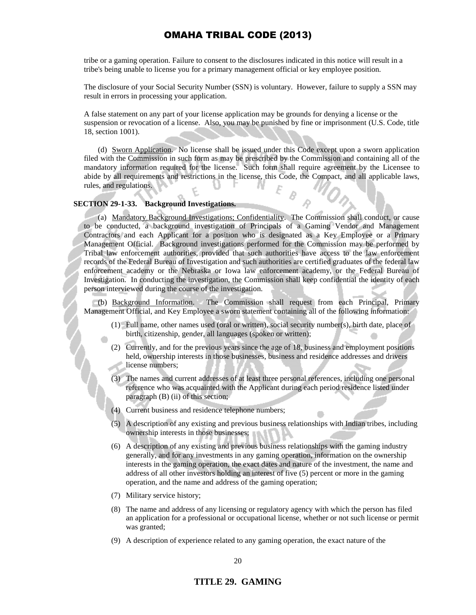tribe or a gaming operation. Failure to consent to the disclosures indicated in this notice will result in a tribe's being unable to license you for a primary management official or key employee position.

The disclosure of your Social Security Number (SSN) is voluntary. However, failure to supply a SSN may result in errors in processing your application.

A false statement on any part of your license application may be grounds for denying a license or the suspension or revocation of a license. Also, you may be punished by fine or imprisonment (U.S. Code, title 18, section 1001).

(d) Sworn Application. No license shall be issued under this Code except upon a sworn application filed with the Commission in such form as may be prescribed by the Commission and containing all of the mandatory information required for the license. Such form shall require agreement by the Licensee to abide by all requirements and restrictions in the license, this Code, the Compact, and all applicable laws, rules, and regulations.

### **SECTION 29-1-33. Background Investigations.**

(a) Mandatory Background Investigations; Confidentiality. The Commission shall conduct, or cause to be conducted, a background investigation of Principals of a Gaming Vendor and Management Contractors and each Applicant for a position who is designated as a Key Employee or a Primary Management Official. Background investigations performed for the Commission may be performed by Tribal law enforcement authorities, provided that such authorities have access to the law enforcement records of the Federal Bureau of Investigation and such authorities are certified graduates of the federal law enforcement academy or the Nebraska or Iowa law enforcement academy, or the Federal Bureau of Investigation. In conducting the investigation, the Commission shall keep confidential the identity of each person interviewed during the course of the investigation.

(b) Background Information. The Commission shall request from each Principal, Primary Management Official, and Key Employee a sworn statement containing all of the following information:

- (1) Full name, other names used (oral or written), social security number(s), birth date, place of birth, citizenship, gender, all languages (spoken or written);
- (2) Currently, and for the previous years since the age of 18, business and employment positions held, ownership interests in those businesses, business and residence addresses and drivers license numbers;
- (3) The names and current addresses of at least three personal references, including one personal reference who was acquainted with the Applicant during each period residence listed under paragraph (B) (ii) of this section;
- (4) Current business and residence telephone numbers;
- (5) A description of any existing and previous business relationships with Indian tribes, including ownership interests in those businesses;
- (6) A description of any existing and previous business relationships with the gaming industry generally, and for any investments in any gaming operation, information on the ownership interests in the gaming operation, the exact dates and nature of the investment, the name and address of all other investors holding an interest of five (5) percent or more in the gaming operation, and the name and address of the gaming operation;
- (7) Military service history;
- (8) The name and address of any licensing or regulatory agency with which the person has filed an application for a professional or occupational license, whether or not such license or permit was granted;
- (9) A description of experience related to any gaming operation, the exact nature of the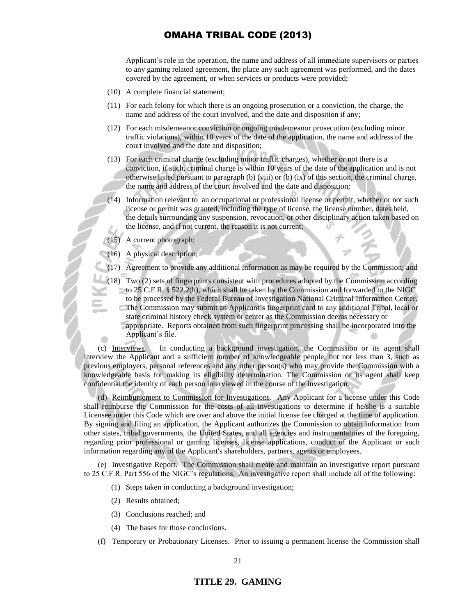Applicant's role in the operation, the name and address of all immediate supervisors or parties to any gaming related agreement, the place any such agreement was performed, and the dates covered by the agreement, or when services or products were provided;

- (10) A complete financial statement;
- (11) For each felony for which there is an ongoing prosecution or a conviction, the charge, the name and address of the court involved, and the date and disposition if any;
- (12) For each misdemeanor conviction or ongoing misdemeanor prosecution (excluding minor traffic violations), within 10 years of the date of the application, the name and address of the court involved and the date and disposition;
- (13) For each criminal charge (excluding minor traffic charges), whether or not there is a conviction, if such, criminal charge is within 10 years of the date of the application and is not otherwise listed pursuant to paragraph (b) (viii) or (b) (ix) of this section, the criminal charge, the name and address of the court involved and the date and disposition;
- (14) Information relevant to an occupational or professional license or permit, whether or not such license or permit was granted, including the type of license, the license number, dates held, the details surrounding any suspension, revocation, or other disciplinary action taken based on the license, and if not current, the reason it is not current; c.
- (15) A current photograph;
- (16) A physical description;
- (17) Agreement to provide any additional information as may be required by the Commission; and
- (18) Two (2) sets of fingerprints consistent with procedures adopted by the Commission according to 25 C.F.R. § 522.2(h), which shall be taken by the Commission and forwarded to the NIGC to be processed by the Federal Bureau of Investigation National Criminal Information Center. The Commission may submit an Applicant's fingerprint card to any additional Tribal, local or c state criminal history check system or center as the Commission deems necessary or appropriate. Reports obtained from such fingerprint processing shall be incorporated into the
	- Applicant's file.

(c) Interviews. In conducting a background investigation, the Commission or its agent shall interview the Applicant and a sufficient number of knowledgeable people, but not less than 3, such as previous employers, personal references and any other person(s) who may provide the Commission with a knowledgeable basis for making its eligibility determination. The Commission or its agent shall keep confidential the identity of each person interviewed in the course of the investigation.

(d) Reimbursement to Commission for Investigations. Any Applicant for a license under this Code shall reimburse the Commission for the costs of all investigations to determine if he/she is a suitable Licensee under this Code which are over and above the initial license fee charged at the time of application. By signing and filing an application, the Applicant authorizes the Commission to obtain information from other states, tribal governments, the United States, and all agencies and instrumentalities of the foregoing, regarding prior professional or gaming licenses, license applications, conduct of the Applicant or such information regarding any of the Applicant's shareholders, partners, agents or employees.

(e) Investigative Report. The Commission shall create and maintain an investigative report pursuant to 25 C.F.R. Part 556 of the NIGC's regulations. An investigative report shall include all of the following:

- (1) Steps taken in conducting a background investigation;
- (2) Results obtained;
- (3) Conclusions reached; and
- (4) The bases for those conclusions.
- (f) Temporary or Probationary Licenses. Prior to issuing a permanent license the Commission shall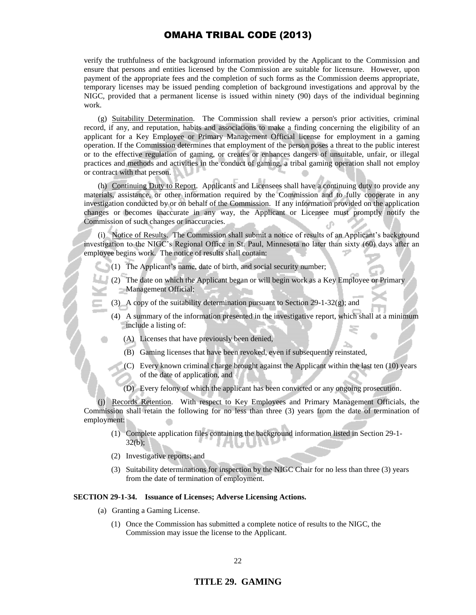verify the truthfulness of the background information provided by the Applicant to the Commission and ensure that persons and entities licensed by the Commission are suitable for licensure. However, upon payment of the appropriate fees and the completion of such forms as the Commission deems appropriate, temporary licenses may be issued pending completion of background investigations and approval by the NIGC, provided that a permanent license is issued within ninety (90) days of the individual beginning work.

(g) Suitability Determination. The Commission shall review a person's prior activities, criminal record, if any, and reputation, habits and associations to make a finding concerning the eligibility of an applicant for a Key Employee or Primary Management Official license for employment in a gaming operation. If the Commission determines that employment of the person poses a threat to the public interest or to the effective regulation of gaming, or creates or enhances dangers of unsuitable, unfair, or illegal practices and methods and activities in the conduct of gaming, a tribal gaming operation shall not employ or contract with that person.

(h) Continuing Duty to Report. Applicants and Licensees shall have a continuing duty to provide any materials, assistance, or other information required by the Commission and to fully cooperate in any investigation conducted by or on behalf of the Commission. If any information provided on the application changes or becomes inaccurate in any way, the Applicant or Licensee must promptly notify the Commission of such changes or inaccuracies.

(i) Notice of Results. The Commission shall submit a notice of results of an Applicant's background investigation to the NIGC's Regional Office in St. Paul, Minnesota no later than sixty (60) days after an employee begins work. The notice of results shall contain:

(1) The Applicant's name, date of birth, and social security number;

- (2) The date on which the Applicant began or will begin work as a Key Employee or Primary Management Official;
- (3) A copy of the suitability determination pursuant to Section 29-1-32(g); and
	- (4) A summary of the information presented in the investigative report, which shall at a minimum include a listing of:
		- (A) Licenses that have previously been denied,
		- (B) Gaming licenses that have been revoked, even if subsequently reinstated,
		- (C) Every known criminal charge brought against the Applicant within the last ten (10) years of the date of application, and
		- (D) Every felony of which the applicant has been convicted or any ongoing prosecution.

(j) Records Retention. With respect to Key Employees and Primary Management Officials, the Commission shall retain the following for no less than three (3) years from the date of termination of employment:

- (1) Complete application files containing the background information listed in Section 29-1-  $32(b)$ ; a li
- (2) Investigative reports; and
- (3) Suitability determinations for inspection by the NIGC Chair for no less than three (3) years from the date of termination of employment.

#### **SECTION 29-1-34. Issuance of Licenses; Adverse Licensing Actions.**

- (a) Granting a Gaming License.
	- (1) Once the Commission has submitted a complete notice of results to the NIGC, the Commission may issue the license to the Applicant.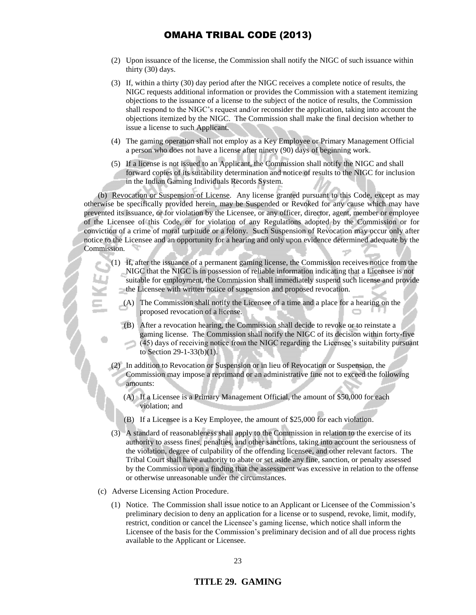- (2) Upon issuance of the license, the Commission shall notify the NIGC of such issuance within thirty (30) days.
- (3) If, within a thirty (30) day period after the NIGC receives a complete notice of results, the NIGC requests additional information or provides the Commission with a statement itemizing objections to the issuance of a license to the subject of the notice of results, the Commission shall respond to the NIGC's request and/or reconsider the application, taking into account the objections itemized by the NIGC. The Commission shall make the final decision whether to issue a license to such Applicant.
- (4) The gaming operation shall not employ as a Key Employee or Primary Management Official a person who does not have a license after ninety (90) days of beginning work.
- (5) If a license is not issued to an Applicant, the Commission shall notify the NIGC and shall forward copies of its suitability determination and notice of results to the NIGC for inclusion in the Indian Gaming Individuals Records System.

(b) Revocation or Suspension of License. Any license granted pursuant to this Code, except as may otherwise be specifically provided herein, may be Suspended or Revoked for any cause which may have prevented its issuance, or for violation by the Licensee, or any officer, director, agent, member or employee of the Licensee of this Code, or for violation of any Regulations adopted by the Commission or for conviction of a crime of moral turpitude or a felony. Such Suspension of Revocation may occur only after notice to the Licensee and an opportunity for a hearing and only upon evidence determined adequate by the Commission.

- (1) If, after the issuance of a permanent gaming license, the Commission receives notice from the NIGC that the NIGC is in possession of reliable information indicating that a Licensee is not suitable for employment, the Commission shall immediately suspend such license and provide the Licensee with written notice of suspension and proposed revocation.
	- (A) The Commission shall notify the Licensee of a time and a place for a hearing on the proposed revocation of a license.
	- (B) After a revocation hearing, the Commission shall decide to revoke or to reinstate a gaming license. The Commission shall notify the NIGC of its decision within forty-five (45) days of receiving notice from the NIGC regarding the Licensee's suitability pursuant to Section 29-1-33(b)(1).
- (2) In addition to Revocation or Suspension or in lieu of Revocation or Suspension, the Commission may impose a reprimand or an administrative fine not to exceed the following amounts:
	- (A) If a Licensee is a Primary Management Official, the amount of \$50,000 for each violation; and
	- (B) If a Licensee is a Key Employee, the amount of \$25,000 for each violation.
- (3) A standard of reasonableness shall apply to the Commission in relation to the exercise of its authority to assess fines, penalties, and other sanctions, taking into account the seriousness of the violation, degree of culpability of the offending licensee, and other relevant factors. The Tribal Court shall have authority to abate or set aside any fine, sanction, or penalty assessed by the Commission upon a finding that the assessment was excessive in relation to the offense or otherwise unreasonable under the circumstances.
- (c) Adverse Licensing Action Procedure.
	- (1) Notice. The Commission shall issue notice to an Applicant or Licensee of the Commission's preliminary decision to deny an application for a license or to suspend, revoke, limit, modify, restrict, condition or cancel the Licensee's gaming license, which notice shall inform the Licensee of the basis for the Commission's preliminary decision and of all due process rights available to the Applicant or Licensee.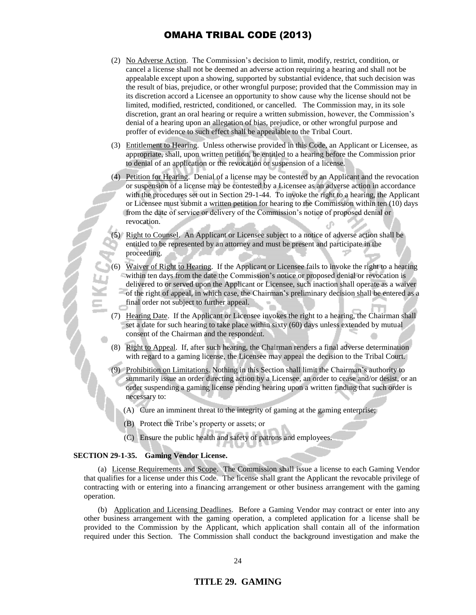- (2) No Adverse Action. The Commission's decision to limit, modify, restrict, condition, or cancel a license shall not be deemed an adverse action requiring a hearing and shall not be appealable except upon a showing, supported by substantial evidence, that such decision was the result of bias, prejudice, or other wrongful purpose; provided that the Commission may in its discretion accord a Licensee an opportunity to show cause why the license should not be limited, modified, restricted, conditioned, or cancelled. The Commission may, in its sole discretion, grant an oral hearing or require a written submission, however, the Commission's denial of a hearing upon an allegation of bias, prejudice, or other wrongful purpose and proffer of evidence to such effect shall be appealable to the Tribal Court.
- (3) Entitlement to Hearing. Unless otherwise provided in this Code, an Applicant or Licensee, as appropriate, shall, upon written petition, be entitled to a hearing before the Commission prior to denial of an application or the revocation or suspension of a license.
- (4) Petition for Hearing. Denial of a license may be contested by an Applicant and the revocation or suspension of a license may be contested by a Licensee as an adverse action in accordance with the procedures set out in Section 29-1-44. To invoke the right to a hearing, the Applicant or Licensee must submit a written petition for hearing to the Commission within ten (10) days from the date of service or delivery of the Commission's notice of proposed denial or revocation.

Right to Counsel. An Applicant or Licensee subject to a notice of adverse action shall be entitled to be represented by an attorney and must be present and participate in the proceeding.

- (6) Waiver of Right to Hearing. If the Applicant or Licensee fails to invoke the right to a hearing within ten days from the date the Commission's notice or proposed denial or revocation is delivered to or served upon the Applicant or Licensee, such inaction shall operate as a waiver of the right of appeal, in which case, the Chairman's preliminary decision shall be entered as a final order not subject to further appeal.
- (7) Hearing Date. If the Applicant or Licensee invokes the right to a hearing, the Chairman shall set a date for such hearing to take place within sixty (60) days unless extended by mutual consent of the Chairman and the respondent.
- (8) Right to Appeal. If, after such hearing, the Chairman renders a final adverse determination with regard to a gaming license, the Licensee may appeal the decision to the Tribal Court.
- (9) Prohibition on Limitations. Nothing in this Section shall limit the Chairman's authority to summarily issue an order directing action by a Licensee, an order to cease and/or desist, or an order suspending a gaming license pending hearing upon a written finding that such order is necessary to:
	- (A) Cure an imminent threat to the integrity of gaming at the gaming enterprise;
	- (B) Protect the Tribe's property or assets; or
	- (C) Ensure the public health and safety of patrons and employees.

#### **SECTION 29-1-35. Gaming Vendor License.**

(a) License Requirements and Scope. The Commission shall issue a license to each Gaming Vendor that qualifies for a license under this Code. The license shall grant the Applicant the revocable privilege of contracting with or entering into a financing arrangement or other business arrangement with the gaming operation.

(b) Application and Licensing Deadlines. Before a Gaming Vendor may contract or enter into any other business arrangement with the gaming operation, a completed application for a license shall be provided to the Commission by the Applicant, which application shall contain all of the information required under this Section. The Commission shall conduct the background investigation and make the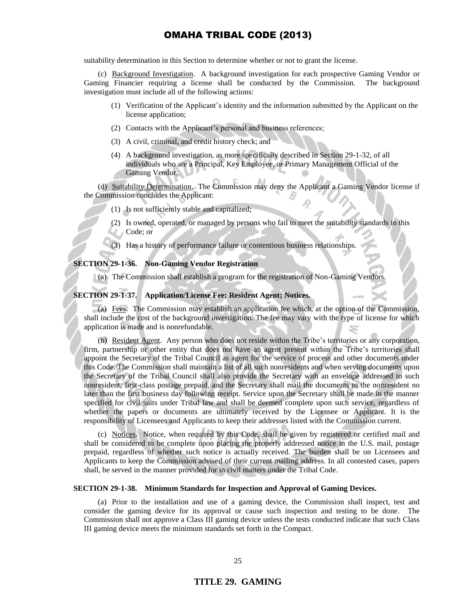suitability determination in this Section to determine whether or not to grant the license.

(c) Background Investigation. A background investigation for each prospective Gaming Vendor or Gaming Financier requiring a license shall be conducted by the Commission. The background investigation must include all of the following actions:

- (1) Verification of the Applicant's identity and the information submitted by the Applicant on the license application;
- (2) Contacts with the Applicant's personal and business references;
- (3) A civil, criminal, and credit history check; and
- (4) A background investigation, as more specifically described in Section 29-1-32, of all individuals who are a Principal, Key Employee, or Primary Management Official of the Gaming Vendor.

(d) Suitability Determination. The Commission may deny the Applicant a Gaming Vendor license if the Commission concludes the Applicant:

(1) Is not sufficiently stable and capitalized;

- (2) Is owned, operated, or managed by persons who fail to meet the suitability standards in this Code; or
- (3) Has a history of performance failure or contentious business relationships.

#### **SECTION 29-1-36. Non-Gaming Vendor Registration**

(a) The Commission shall establish a program for the registration of Non-Gaming Vendors.

**SECTION 29-1-37. Application/License Fee; Resident Agent; Notices.** 

(a) Fees. The Commission may establish an application fee which, at the option of the Commission, shall include the cost of the background investigation. The fee may vary with the type of license for which application is made and is nonrefundable.

(b) Resident Agent. Any person who does not reside within the Tribe's territories or any corporation, firm, partnership or other entity that does not have an agent present within the Tribe's territories shall appoint the Secretary of the Tribal Council as agent for the service of process and other documents under this Code. The Commission shall maintain a list of all such nonresidents and when serving documents upon the Secretary of the Tribal Council shall also provide the Secretary with an envelope addressed to such nonresident, first-class postage prepaid, and the Secretary shall mail the documents to the nonresident no later than the first business day following receipt. Service upon the Secretary shall be made in the manner specified for civil suits under Tribal law and shall be deemed complete upon such service, regardless of whether the papers or documents are ultimately received by the Licensee or Applicant. It is the responsibility of Licensees and Applicants to keep their addresses listed with the Commission current.

(c) Notices. Notice, when required by this Code, shall be given by registered or certified mail and shall be considered to be complete upon placing the properly addressed notice in the U.S. mail, postage prepaid, regardless of whether such notice is actually received. The burden shall be on Licensees and Applicants to keep the Commission advised of their current mailing address. In all contested cases, papers shall, be served in the manner provided for in civil matters under the Tribal Code.

#### **SECTION 29-1-38. Minimum Standards for Inspection and Approval of Gaming Devices.**

(a) Prior to the installation and use of a gaming device, the Commission shall inspect, test and consider the gaming device for its approval or cause such inspection and testing to be done. The Commission shall not approve a Class III gaming device unless the tests conducted indicate that such Class III gaming device meets the minimum standards set forth in the Compact.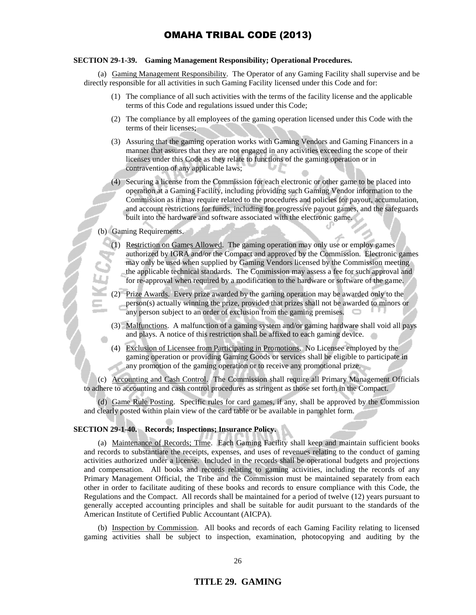### **SECTION 29-1-39. Gaming Management Responsibility; Operational Procedures.**

(a) Gaming Management Responsibility. The Operator of any Gaming Facility shall supervise and be directly responsible for all activities in such Gaming Facility licensed under this Code and for:

- (1) The compliance of all such activities with the terms of the facility license and the applicable terms of this Code and regulations issued under this Code;
- (2) The compliance by all employees of the gaming operation licensed under this Code with the terms of their licenses;
- (3) Assuring that the gaming operation works with Gaming Vendors and Gaming Financers in a manner that assures that they are not engaged in any activities exceeding the scope of their licenses under this Code as they relate to functions of the gaming operation or in contravention of any applicable laws;
- Securing a license from the Commission for each electronic or other game to be placed into operation at a Gaming Facility, including providing such Gaming Vendor information to the Commission as it may require related to the procedures and policies for payout, accumulation, and account restrictions for funds, including for progressive payout games, and the safeguards built into the hardware and software associated with the electronic game.

## (b) Gaming Requirements.

- (1) Restriction on Games Allowed. The gaming operation may only use or employ games authorized by IGRA and/or the Compact and approved by the Commission. Electronic games may only be used when supplied by Gaming Vendors licensed by the Commission meeting the applicable technical standards. The Commission may assess a fee for such approval and for re-approval when required by a modification to the hardware or software of the game.
- (2) Prize Awards. Every prize awarded by the gaming operation may be awarded only to the person(s) actually winning the prize, provided that prizes shall not be awarded to minors or any person subject to an order of exclusion from the gaming premises.
- (3) Malfunctions. A malfunction of a gaming system and/or gaming hardware shall void all pays and plays. A notice of this restriction shall be affixed to each gaming device.
- (4) Exclusion of Licensee from Participating in Promotions. No Licensee employed by the gaming operation or providing Gaming Goods or services shall be eligible to participate in any promotion of the gaming operation or to receive any promotional prize.

(c) Accounting and Cash Control. The Commission shall require all Primary Management Officials to adhere to accounting and cash control procedures as stringent as those set forth in the Compact.

(d) Game Rule Posting. Specific rules for card games, if any, shall be approved by the Commission and clearly posted within plain view of the card table or be available in pamphlet form.

#### **SECTION 29-1-40. Records; Inspections; Insurance Policy.**

(a) Maintenance of Records; Time. Each Gaming Facility shall keep and maintain sufficient books and records to substantiate the receipts, expenses, and uses of revenues relating to the conduct of gaming activities authorized under a license. Included in the records shall be operational budgets and projections and compensation. All books and records relating to gaming activities, including the records of any Primary Management Official, the Tribe and the Commission must be maintained separately from each other in order to facilitate auditing of these books and records to ensure compliance with this Code, the Regulations and the Compact. All records shall be maintained for a period of twelve (12) years pursuant to generally accepted accounting principles and shall be suitable for audit pursuant to the standards of the American Institute of Certified Public Accountant (AICPA).

(b) Inspection by Commission. All books and records of each Gaming Facility relating to licensed gaming activities shall be subject to inspection, examination, photocopying and auditing by the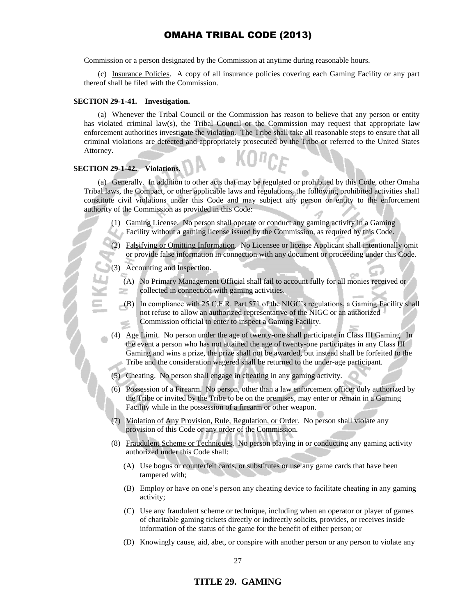Commission or a person designated by the Commission at anytime during reasonable hours.

(c) Insurance Policies. A copy of all insurance policies covering each Gaming Facility or any part thereof shall be filed with the Commission.

#### **SECTION 29-1-41. Investigation.**

(a) Whenever the Tribal Council or the Commission has reason to believe that any person or entity has violated criminal law(s), the Tribal Council or the Commission may request that appropriate law enforcement authorities investigate the violation. The Tribe shall take all reasonable steps to ensure that all criminal violations are detected and appropriately prosecuted by the Tribe or referred to the United States Attorney.

#### **SECTION 29-1-42. Violations.**

(a) Generally. In addition to other acts that may be regulated or prohibited by this Code, other Omaha Tribal laws, the Compact, or other applicable laws and regulations, the following prohibited activities shall constitute civil violations under this Code and may subject any person or entity to the enforcement authority of the Commission as provided in this Code:

- (1) Gaming License. No person shall operate or conduct any gaming activity in a Gaming Facility without a gaming license issued by the Commission, as required by this Code.
- (2) Falsifying or Omitting Information. No Licensee or license Applicant shall intentionally omit or provide false information in connection with any document or proceeding under this Code.

(3) Accounting and Inspection.

- (A) No Primary Management Official shall fail to account fully for all monies received or collected in connection with gaming activities. æ.
- (B) In compliance with 25 C.F.R. Part 571 of the NIGC's regulations, a Gaming Facility shall not refuse to allow an authorized representative of the NIGC or an authorized Commission official to enter to inspect a Gaming Facility.
- (4) Age Limit. No person under the age of twenty-one shall participate in Class III Gaming. In the event a person who has not attained the age of twenty-one participates in any Class III Gaming and wins a prize, the prize shall not be awarded, but instead shall be forfeited to the Tribe and the consideration wagered shall be returned to the under-age participant.
- (5) Cheating. No person shall engage in cheating in any gaming activity.
- (6) Possession of a Firearm. No person, other than a law enforcement officer duly authorized by the Tribe or invited by the Tribe to be on the premises, may enter or remain in a Gaming Facility while in the possession of a firearm or other weapon.
- (7) Violation of Any Provision, Rule, Regulation, or Order. No person shall violate any provision of this Code or any order of the Commission.
- (8) Fraudulent Scheme or Techniques. No person playing in or conducting any gaming activity authorized under this Code shall:
	- (A) Use bogus or counterfeit cards, or substitutes or use any game cards that have been tampered with;
	- (B) Employ or have on one's person any cheating device to facilitate cheating in any gaming activity;
	- (C) Use any fraudulent scheme or technique, including when an operator or player of games of charitable gaming tickets directly or indirectly solicits, provides, or receives inside information of the status of the game for the benefit of either person; or
	- (D) Knowingly cause, aid, abet, or conspire with another person or any person to violate any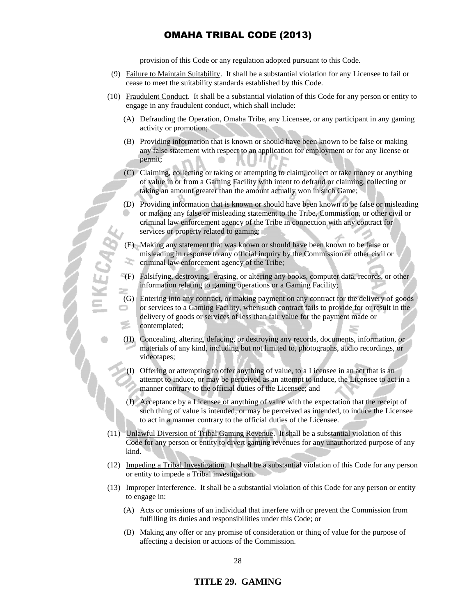provision of this Code or any regulation adopted pursuant to this Code.

- (9) Failure to Maintain Suitability. It shall be a substantial violation for any Licensee to fail or cease to meet the suitability standards established by this Code.
- (10) Fraudulent Conduct. It shall be a substantial violation of this Code for any person or entity to engage in any fraudulent conduct, which shall include:
	- (A) Defrauding the Operation, Omaha Tribe, any Licensee, or any participant in any gaming activity or promotion;
	- (B) Providing information that is known or should have been known to be false or making any false statement with respect to an application for employment or for any license or permit;
	- (C) Claiming, collecting or taking or attempting to claim, collect or take money or anything of value in or from a Gaming Facility with intent to defraud or claiming, collecting or taking an amount greater than the amount actually won in such Game;
	- (D) Providing information that is known or should have been known to be false or misleading or making any false or misleading statement to the Tribe, Commission, or other civil or criminal law enforcement agency of the Tribe in connection with any contract for services or property related to gaming;
	- (E) Making any statement that was known or should have been known to be false or misleading in response to any official inquiry by the Commission or other civil or criminal law enforcement agency of the Tribe;
	- (F) Falsifying, destroying, erasing, or altering any books, computer data, records, or other information relating to gaming operations or a Gaming Facility;
	- (G) Entering into any contract, or making payment on any contract for the delivery of goods or services to a Gaming Facility, when such contract fails to provide for or result in the delivery of goods or services of less than fair value for the payment made or contemplated;
	- (H) Concealing, altering, defacing, or destroying any records, documents, information, or materials of any kind, including but not limited to, photographs, audio recordings, or videotapes;
		- Offering or attempting to offer anything of value, to a Licensee in an act that is an attempt to induce, or may be perceived as an attempt to induce, the Licensee to act in a manner contrary to the official duties of the Licensee; and
	- (J) Acceptance by a Licensee of anything of value with the expectation that the receipt of such thing of value is intended, or may be perceived as intended, to induce the Licensee to act in a manner contrary to the official duties of the Licensee.
- (11) Unlawful Diversion of Tribal Gaming Revenue. It shall be a substantial violation of this Code for any person or entity to divert gaming revenues for any unauthorized purpose of any kind.
- (12) Impeding a Tribal Investigation. It shall be a substantial violation of this Code for any person or entity to impede a Tribal investigation.
- (13) Improper Interference. It shall be a substantial violation of this Code for any person or entity to engage in:
	- (A) Acts or omissions of an individual that interfere with or prevent the Commission from fulfilling its duties and responsibilities under this Code; or
	- (B) Making any offer or any promise of consideration or thing of value for the purpose of affecting a decision or actions of the Commission.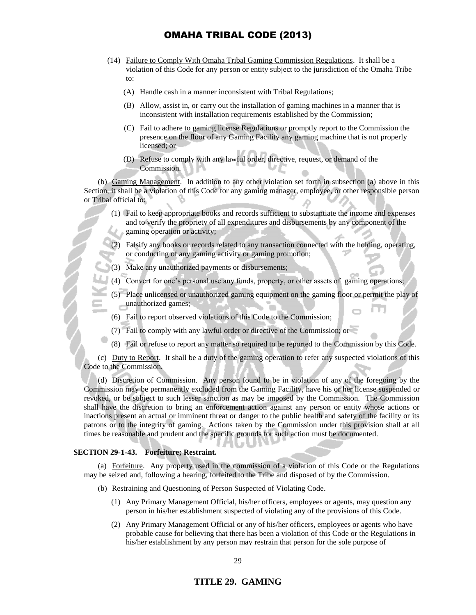- (14) Failure to Comply With Omaha Tribal Gaming Commission Regulations. It shall be a violation of this Code for any person or entity subject to the jurisdiction of the Omaha Tribe to:
	- (A) Handle cash in a manner inconsistent with Tribal Regulations;
	- (B) Allow, assist in, or carry out the installation of gaming machines in a manner that is inconsistent with installation requirements established by the Commission;
	- (C) Fail to adhere to gaming license Regulations or promptly report to the Commission the presence on the floor of any Gaming Facility any gaming machine that is not properly licensed; or
	- (D) Refuse to comply with any lawful order, directive, request, or demand of the Commission.

(b) Gaming Management. In addition to any other violation set forth in subsection (a) above in this Section, it shall be a violation of this Code for any gaming manager, employee, or other responsible person or Tribal official to:

- (1) Fail to keep appropriate books and records sufficient to substantiate the income and expenses and to verify the propriety of all expenditures and disbursements by any component of the gaming operation or activity;
- (2) Falsify any books or records related to any transaction connected with the holding, operating, or conducting of any gaming activity or gaming promotion;
- (3) Make any unauthorized payments or disbursements;
- (4) Convert for one's personal use any funds, property, or other assets of gaming operations;
- Place unlicensed or unauthorized gaming equipment on the gaming floor or permit the play of unauthorized games;
- (6) Fail to report observed violations of this Code to the Commission;
- (7) Fail to comply with any lawful order or directive of the Commission; or
- (8) Fail or refuse to report any matter so required to be reported to the Commission by this Code.

(c) Duty to Report. It shall be a duty of the gaming operation to refer any suspected violations of this Code to the Commission.

(d) Discretion of Commission. Any person found to be in violation of any of the foregoing by the Commission may be permanently excluded from the Gaming Facility, have his or her license suspended or revoked, or be subject to such lesser sanction as may be imposed by the Commission. The Commission shall have the discretion to bring an enforcement action against any person or entity whose actions or inactions present an actual or imminent threat or danger to the public health and safety of the facility or its patrons or to the integrity of gaming. Actions taken by the Commission under this provision shall at all times be reasonable and prudent and the specific grounds for such action must be documented.

### **SECTION 29-1-43. Forfeiture; Restraint.**

(a) Forfeiture. Any property used in the commission of a violation of this Code or the Regulations may be seized and, following a hearing, forfeited to the Tribe and disposed of by the Commission.

- (b) Restraining and Questioning of Person Suspected of Violating Code.
	- (1) Any Primary Management Official, his/her officers, employees or agents, may question any person in his/her establishment suspected of violating any of the provisions of this Code.
	- (2) Any Primary Management Official or any of his/her officers, employees or agents who have probable cause for believing that there has been a violation of this Code or the Regulations in his/her establishment by any person may restrain that person for the sole purpose of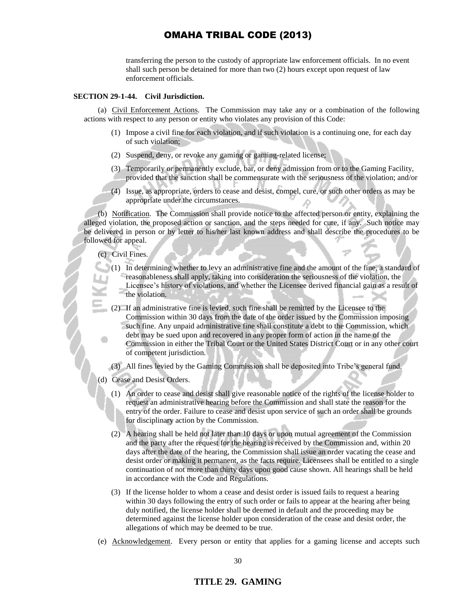transferring the person to the custody of appropriate law enforcement officials. In no event shall such person be detained for more than two (2) hours except upon request of law enforcement officials.

#### **SECTION 29-1-44. Civil Jurisdiction.**

(a) Civil Enforcement Actions. The Commission may take any or a combination of the following actions with respect to any person or entity who violates any provision of this Code:

- (1) Impose a civil fine for each violation, and if such violation is a continuing one, for each day of such violation;
- (2) Suspend, deny, or revoke any gaming or gaming-related license;
- (3) Temporarily or permanently exclude, bar, or deny admission from or to the Gaming Facility, provided that the sanction shall be commensurate with the seriousness of the violation; and/or
- (4) Issue, as appropriate, orders to cease and desist, compel, cure, or such other orders as may be appropriate under the circumstances.

(b) Notification. The Commission shall provide notice to the affected person or entity, explaining the alleged violation, the proposed action or sanction, and the steps needed for cure, if any. Such notice may be delivered in person or by letter to his/her last known address and shall describe the procedures to be followed for appeal.

### (c) Civil Fines.

- (1) In determining whether to levy an administrative fine and the amount of the fine, a standard of reasonableness shall apply, taking into consideration the seriousness of the violation, the Licensee's history of violations, and whether the Licensee derived financial gain as a result of the violation.
- (2) If an administrative fine is levied, such fine shall be remitted by the Licensee to the Commission within 30 days from the date of the order issued by the Commission imposing such fine. Any unpaid administrative fine shall constitute a debt to the Commission, which debt may be sued upon and recovered in any proper form of action in the name of the Commission in either the Tribal Court or the United States District Court or in any other court of competent jurisdiction.

(3) All fines levied by the Gaming Commission shall be deposited into Tribe's general fund.

- (d) Cease and Desist Orders.
	- (1) An order to cease and desist shall give reasonable notice of the rights of the license holder to request an administrative hearing before the Commission and shall state the reason for the entry of the order. Failure to cease and desist upon service of such an order shall be grounds for disciplinary action by the Commission.
	- (2) A hearing shall be held not later than 10 days or upon mutual agreement of the Commission and the party after the request for the hearing is received by the Commission and, within 20 days after the date of the hearing, the Commission shall issue an order vacating the cease and desist order or making it permanent, as the facts require. Licensees shall be entitled to a single continuation of not more than thirty days upon good cause shown. All hearings shall be held in accordance with the Code and Regulations.
	- (3) If the license holder to whom a cease and desist order is issued fails to request a hearing within 30 days following the entry of such order or fails to appear at the hearing after being duly notified, the license holder shall be deemed in default and the proceeding may be determined against the license holder upon consideration of the cease and desist order, the allegations of which may be deemed to be true.
- (e) Acknowledgement. Every person or entity that applies for a gaming license and accepts such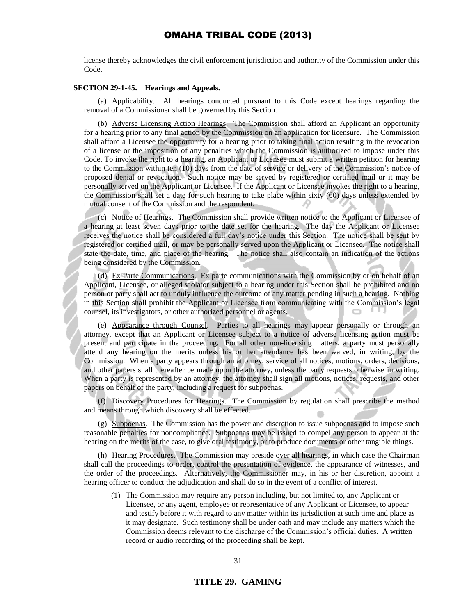license thereby acknowledges the civil enforcement jurisdiction and authority of the Commission under this Code.

#### **SECTION 29-1-45. Hearings and Appeals.**

(a) Applicability. All hearings conducted pursuant to this Code except hearings regarding the removal of a Commissioner shall be governed by this Section.

(b) Adverse Licensing Action Hearings. The Commission shall afford an Applicant an opportunity for a hearing prior to any final action by the Commission on an application for licensure. The Commission shall afford a Licensee the opportunity for a hearing prior to taking final action resulting in the revocation of a license or the imposition of any penalties which the Commission is authorized to impose under this Code. To invoke the right to a hearing, an Applicant or Licensee must submit a written petition for hearing to the Commission within ten (10) days from the date of service or delivery of the Commission's notice of proposed denial or revocation. Such notice may be served by registered or certified mail or it may be personally served on the Applicant or Licensee. If the Applicant or Licensee invokes the right to a hearing, the Commission shall set a date for such hearing to take place within sixty (60) days unless extended by mutual consent of the Commission and the respondent.

(c) Notice of Hearings. The Commission shall provide written notice to the Applicant or Licensee of a hearing at least seven days prior to the date set for the hearing. The day the Applicant or Licensee receives the notice shall be considered a full day's notice under this Section. The notice shall be sent by registered or certified mail, or may be personally served upon the Applicant or Licensee. The notice shall state the date, time, and place of the hearing. The notice shall also contain an indication of the actions being considered by the Commission.

(d) Ex Parte Communications. Ex parte communications with the Commission by or on behalf of an Applicant, Licensee, or alleged violator subject to a hearing under this Section shall be prohibited and no person or party shall act to unduly influence the outcome of any matter pending in such a hearing. Nothing in this Section shall prohibit the Applicant or Licensee from communicating with the Commission's legal counsel, its investigators, or other authorized personnel or agents.

(e) Appearance through Counsel. Parties to all hearings may appear personally or through an attorney, except that an Applicant or Licensee subject to a notice of adverse licensing action must be present and participate in the proceeding. For all other non-licensing matters, a party must personally attend any hearing on the merits unless his or her attendance has been waived, in writing, by the Commission. When a party appears through an attorney, service of all notices, motions, orders, decisions, and other papers shall thereafter be made upon the attorney, unless the party requests otherwise in writing. When a party is represented by an attorney, the attorney shall sign all motions, notices, requests, and other papers on behalf of the party, including a request for subpoenas.

(f) Discovery Procedures for Hearings. The Commission by regulation shall prescribe the method and means through which discovery shall be effected.

(g) Subpoenas. The Commission has the power and discretion to issue subpoenas and to impose such reasonable penalties for noncompliance. Subpoenas may be issued to compel any person to appear at the hearing on the merits of the case, to give oral testimony, or to produce documents or other tangible things.

(h) Hearing Procedures. The Commission may preside over all hearings, in which case the Chairman shall call the proceedings to order, control the presentation of evidence, the appearance of witnesses, and the order of the proceedings. Alternatively, the Commissioner may, in his or her discretion, appoint a hearing officer to conduct the adjudication and shall do so in the event of a conflict of interest.

(1) The Commission may require any person including, but not limited to, any Applicant or Licensee, or any agent, employee or representative of any Applicant or Licensee, to appear and testify before it with regard to any matter within its jurisdiction at such time and place as it may designate. Such testimony shall be under oath and may include any matters which the Commission deems relevant to the discharge of the Commission's official duties. A written record or audio recording of the proceeding shall be kept.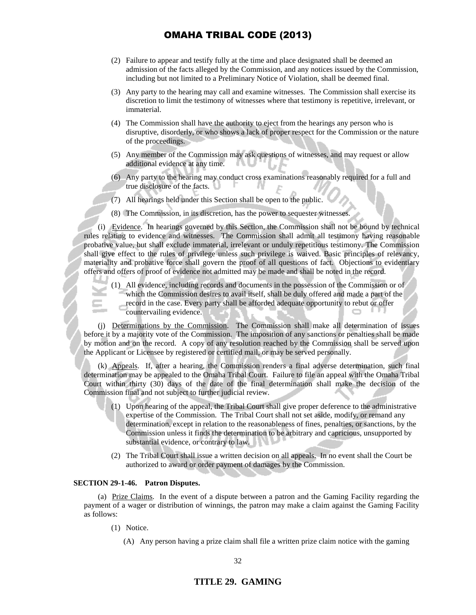- (2) Failure to appear and testify fully at the time and place designated shall be deemed an admission of the facts alleged by the Commission, and any notices issued by the Commission, including but not limited to a Preliminary Notice of Violation, shall be deemed final.
- (3) Any party to the hearing may call and examine witnesses. The Commission shall exercise its discretion to limit the testimony of witnesses where that testimony is repetitive, irrelevant, or immaterial.
- (4) The Commission shall have the authority to eject from the hearings any person who is disruptive, disorderly, or who shows a lack of proper respect for the Commission or the nature of the proceedings.
- (5) Any member of the Commission may ask questions of witnesses, and may request or allow additional evidence at any time.
- (6) Any party to the hearing may conduct cross examinations reasonably required for a full and true disclosure of the facts. -F W
- (7) All hearings held under this Section shall be open to the public.
- (8) The Commission, in its discretion, has the power to sequester witnesses.

(i) Evidence. In hearings governed by this Section, the Commission shall not be bound by technical rules relating to evidence and witnesses. The Commission shall admit all testimony having reasonable probative value, but shall exclude immaterial, irrelevant or unduly repetitious testimony. The Commission shall give effect to the rules of privilege unless such privilege is waived. Basic principles of relevancy, materiality and probative force shall govern the proof of all questions of fact. Objections to evidentiary offers and offers of proof of evidence not admitted may be made and shall be noted in the record.

(1) All evidence, including records and documents in the possession of the Commission or of which the Commission desires to avail itself, shall be duly offered and made a part of the record in the case. Every party shall be afforded adequate opportunity to rebut or offer countervailing evidence.

(j) Determinations by the Commission. The Commission shall make all determination of issues before it by a majority vote of the Commission. The imposition of any sanctions or penalties shall be made by motion and on the record. A copy of any resolution reached by the Commission shall be served upon the Applicant or Licensee by registered or certified mail, or may be served personally.

(k) Appeals. If, after a hearing, the Commission renders a final adverse determination, such final determination may be appealed to the Omaha Tribal Court. Failure to file an appeal with the Omaha Tribal Court within thirty (30) days of the date of the final determination shall make the decision of the Commission final and not subject to further judicial review.

- (1) Upon hearing of the appeal, the Tribal Court shall give proper deference to the administrative expertise of the Commission. The Tribal Court shall not set aside, modify, or remand any determination, except in relation to the reasonableness of fines, penalties, or sanctions, by the Commission unless it finds the determination to be arbitrary and capricious, unsupported by substantial evidence, or contrary to law.
- (2) The Tribal Court shall issue a written decision on all appeals. In no event shall the Court be authorized to award or order payment of damages by the Commission.

#### **SECTION 29-1-46. Patron Disputes.**

(a) Prize Claims. In the event of a dispute between a patron and the Gaming Facility regarding the payment of a wager or distribution of winnings, the patron may make a claim against the Gaming Facility as follows:

- (1) Notice.
	- (A) Any person having a prize claim shall file a written prize claim notice with the gaming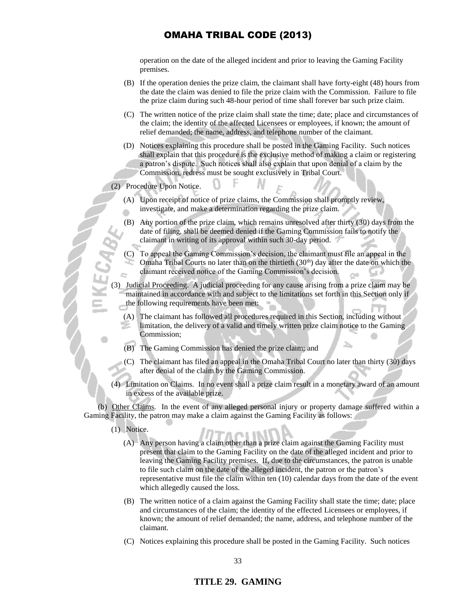operation on the date of the alleged incident and prior to leaving the Gaming Facility premises.

- (B) If the operation denies the prize claim, the claimant shall have forty-eight (48) hours from the date the claim was denied to file the prize claim with the Commission. Failure to file the prize claim during such 48-hour period of time shall forever bar such prize claim.
- (C) The written notice of the prize claim shall state the time; date; place and circumstances of the claim; the identity of the affected Licensees or employees, if known; the amount of relief demanded; the name, address, and telephone number of the claimant.
- (D) Notices explaining this procedure shall be posted in the Gaming Facility. Such notices shall explain that this procedure is the exclusive method of making a claim or registering a patron's dispute. Such notices shall also explain that upon denial of a claim by the Commission, redress must be sought exclusively in Tribal Court.

### (2) Procedure Upon Notice.

- (A) Upon receipt of notice of prize claims, the Commission shall promptly review, investigate, and make a determination regarding the prize claim.
- (B) Any portion of the prize claim, which remains unresolved after thirty (30) days from the date of filing, shall be deemed denied if the Gaming Commission fails to notify the claimant in writing of its approval within such 30-day period.
- (C) To appeal the Gaming Commission's decision, the claimant must file an appeal in the Omaha Tribal Courts no later than on the thirtieth  $(30<sup>th</sup>)$  day after the date on which the claimant received notice of the Gaming Commission's decision.

(3) Judicial Proceeding. A judicial proceeding for any cause arising from a prize claim may be maintained in accordance with and subject to the limitations set forth in this Section only if the following requirements have been met:

- (A) The claimant has followed all procedures required in this Section, including without limitation, the delivery of a valid and timely written prize claim notice to the Gaming Commission;
- (B) The Gaming Commission has denied the prize claim; and
- (C) The claimant has filed an appeal in the Omaha Tribal Court no later than thirty (30) days after denial of the claim by the Gaming Commission.
- (4) Limitation on Claims. In no event shall a prize claim result in a monetary award of an amount in excess of the available prize.

(b) Other Claims. In the event of any alleged personal injury or property damage suffered within a Gaming Facility, the patron may make a claim against the Gaming Facility as follows:

- (1) Notice.
	- (A) Any person having a claim other than a prize claim against the Gaming Facility must present that claim to the Gaming Facility on the date of the alleged incident and prior to leaving the Gaming Facility premises. If, due to the circumstances, the patron is unable to file such claim on the date of the alleged incident, the patron or the patron's representative must file the claim within ten (10) calendar days from the date of the event which allegedly caused the loss.
	- (B) The written notice of a claim against the Gaming Facility shall state the time; date; place and circumstances of the claim; the identity of the effected Licensees or employees, if known; the amount of relief demanded; the name, address, and telephone number of the claimant.
	- (C) Notices explaining this procedure shall be posted in the Gaming Facility. Such notices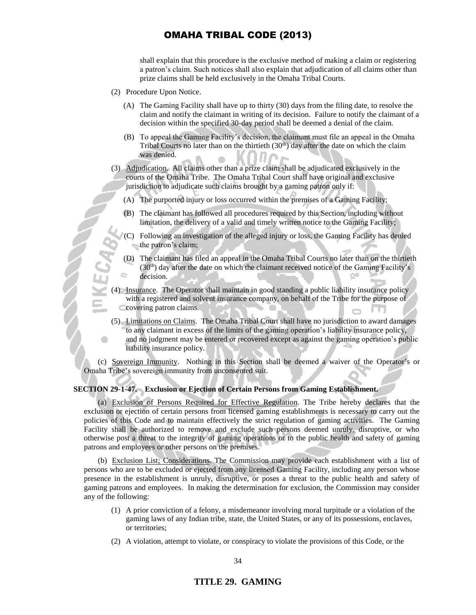shall explain that this procedure is the exclusive method of making a claim or registering a patron's claim. Such notices shall also explain that adjudication of all claims other than prize claims shall be held exclusively in the Omaha Tribal Courts.

- (2) Procedure Upon Notice.
	- (A) The Gaming Facility shall have up to thirty (30) days from the filing date, to resolve the claim and notify the claimant in writing of its decision. Failure to notify the claimant of a decision within the specified 30-day period shall be deemed a denial of the claim.
	- (B) To appeal the Gaming Facility's decision, the claimant must file an appeal in the Omaha Tribal Courts no later than on the thirtieth  $(30<sup>th</sup>)$  day after the date on which the claim was denied.
- (3) Adjudication. All claims other than a prize claim shall be adjudicated exclusively in the courts of the Omaha Tribe. The Omaha Tribal Court shall have original and exclusive jurisdiction to adjudicate such claims brought by a gaming patron only if:
	- (A) The purported injury or loss occurred within the premises of a Gaming Facility;
	- (B) The claimant has followed all procedures required by this Section, including without limitation, the delivery of a valid and timely written notice to the Gaming Facility;
	- (C) Following an investigation of the alleged injury or loss, the Gaming Facility has denied the patron's claim;
	- (D) The claimant has filed an appeal in the Omaha Tribal Courts no later than on the thirtieth  $(30<sup>th</sup>)$  day after the date on which the claimant received notice of the Gaming Facility's decision.
- (4) Insurance. The Operator shall maintain in good standing a public liability insurance policy with a registered and solvent insurance company, on behalf of the Tribe for the purpose of covering patron claims.
- (5) Limitations on Claims. The Omaha Tribal Court shall have no jurisdiction to award damages to any claimant in excess of the limits of the gaming operation's liability insurance policy, and no judgment may be entered or recovered except as against the gaming operation's public liability insurance policy.

(c) Sovereign Immunity. Nothing in this Section shall be deemed a waiver of the Operator's or Omaha Tribe's sovereign immunity from unconsented suit.

### **SECTION 29-1-47. Exclusion or Ejection of Certain Persons from Gaming Establishment.**

(a) Exclusion of Persons Required for Effective Regulation. The Tribe hereby declares that the exclusion or ejection of certain persons from licensed gaming establishments is necessary to carry out the policies of this Code and to maintain effectively the strict regulation of gaming activities. The Gaming Facility shall be authorized to remove and exclude such persons deemed unruly, disruptive, or who otherwise post a threat to the integrity of gaming operations or to the public health and safety of gaming patrons and employees or other persons on the premises.

(b) Exclusion List; Considerations. The Commission may provide each establishment with a list of persons who are to be excluded or ejected from any licensed Gaming Facility, including any person whose presence in the establishment is unruly, disruptive, or poses a threat to the public health and safety of gaming patrons and employees. In making the determination for exclusion, the Commission may consider any of the following:

- (1) A prior conviction of a felony, a misdemeanor involving moral turpitude or a violation of the gaming laws of any Indian tribe, state, the United States, or any of its possessions, enclaves, or territories;
- (2) A violation, attempt to violate, or conspiracy to violate the provisions of this Code, or the